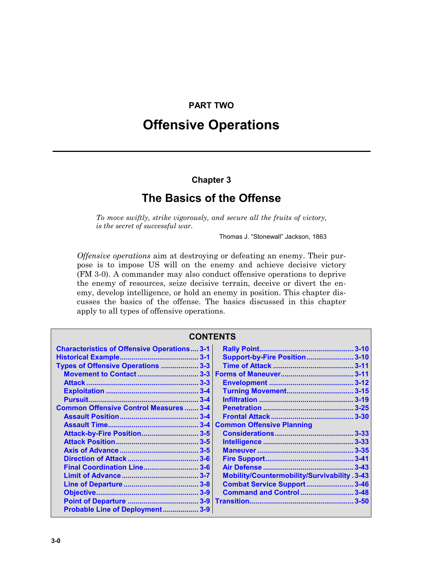# **PART TWO**

# <span id="page-0-0"></span>**Offensive Operations**

# **Chapter 3**

# **The Basics of the Offense**

*To move swiftly, strike vigorously, and secure all the fruits of victory, is the secret of successful war.*

Thomas J. "Stonewall" Jackson, 1863

*Offensive operations* aim at destroying or defeating an enemy. Their purpose is to impose US will on the enemy and achieve decisive victory (FM 3-0). A commander may also conduct offensive operations to deprive the enemy of resources, seize decisive terrain, deceive or divert the enemy, develop intelligence, or hold an enemy in position. This chapter discusses the basics of the offense. The basics discussed in this chapter apply to all types of offensive operations.

| <b>CONTENTS</b>                                    |                                              |  |  |
|----------------------------------------------------|----------------------------------------------|--|--|
| <b>Characteristics of Offensive Operations 3-1</b> |                                              |  |  |
|                                                    | <b>Support-by-Fire Position 3-10</b>         |  |  |
| Types of Offensive Operations  3-3                 |                                              |  |  |
|                                                    |                                              |  |  |
|                                                    |                                              |  |  |
|                                                    |                                              |  |  |
|                                                    |                                              |  |  |
| <b>Common Offensive Control Measures 3-4</b>       |                                              |  |  |
|                                                    |                                              |  |  |
|                                                    | <b>Common Offensive Planning</b>             |  |  |
| <b>Attack-by-Fire Position 3-5</b>                 |                                              |  |  |
|                                                    |                                              |  |  |
|                                                    |                                              |  |  |
|                                                    |                                              |  |  |
| <b>Final Coordination Line 3-6</b>                 |                                              |  |  |
|                                                    | Mobility/Countermobility/Survivability. 3-43 |  |  |
|                                                    | <b>Combat Service Support 3-46</b>           |  |  |
|                                                    | <b>Command and Control  3-48</b>             |  |  |
|                                                    |                                              |  |  |
| Probable Line of Deployment 3-9                    |                                              |  |  |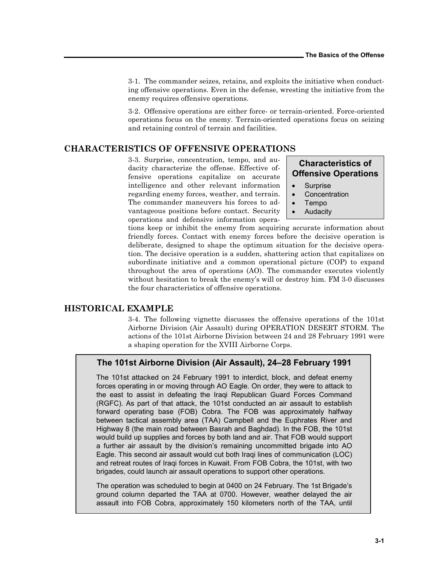3-1. The commander seizes, retains, and exploits the initiative when conducting offensive operations. Even in the defense, wresting the initiative from the enemy requires offensive operations.

3-2. Offensive operations are either force- or terrain-oriented. Force-oriented operations focus on the enemy. Terrain-oriented operations focus on seizing and retaining control of terrain and facilities.

# <span id="page-1-0"></span>**CHARACTERISTICS OF OFFENSIVE OPERATIONS**

3-3. Surprise, concentration, tempo, and audacity characterize the offense. Effective offensive operations capitalize on accurate intelligence and other relevant information regarding enemy forces, weather, and terrain. The commander maneuvers his forces to advantageous positions before contact. Security operations and defensive information opera-

**Characteristics of Offensive Operations**

- Surprise
- **Concentration**
- Tempo
- Audacity

tions keep or inhibit the enemy from acquiring accurate information about friendly forces. Contact with enemy forces before the decisive operation is deliberate, designed to shape the optimum situation for the decisive operation. The decisive operation is a sudden, shattering action that capitalizes on subordinate initiative and a common operational picture (COP) to expand throughout the area of operations (AO). The commander executes violently without hesitation to break the enemy's will or destroy him. FM 3-0 discusses the four characteristics of offensive operations.

# <span id="page-1-1"></span>**HISTORICAL EXAMPLE**

3-4. The following vignette discusses the offensive operations of the 101st Airborne Division (Air Assault) during OPERATION DESERT STORM. The actions of the 101st Airborne Division between 24 and 28 February 1991 were a shaping operation for the XVIII Airborne Corps.

# **The 101st Airborne Division (Air Assault), 24–28 February 1991**

The 101st attacked on 24 February 1991 to interdict, block, and defeat enemy forces operating in or moving through AO Eagle. On order, they were to attack to the east to assist in defeating the Iraqi Republican Guard Forces Command (RGFC). As part of that attack, the 101st conducted an air assault to establish forward operating base (FOB) Cobra. The FOB was approximately halfway between tactical assembly area (TAA) Campbell and the Euphrates River and Highway 8 (the main road between Basrah and Baghdad). In the FOB, the 101st would build up supplies and forces by both land and air. That FOB would support a further air assault by the division's remaining uncommitted brigade into AO Eagle. This second air assault would cut both Iraqi lines of communication (LOC) and retreat routes of Iraqi forces in Kuwait. From FOB Cobra, the 101st, with two brigades, could launch air assault operations to support other operations.

The operation was scheduled to begin at 0400 on 24 February. The 1st Brigade's ground column departed the TAA at 0700. However, weather delayed the air assault into FOB Cobra, approximately 150 kilometers north of the TAA, until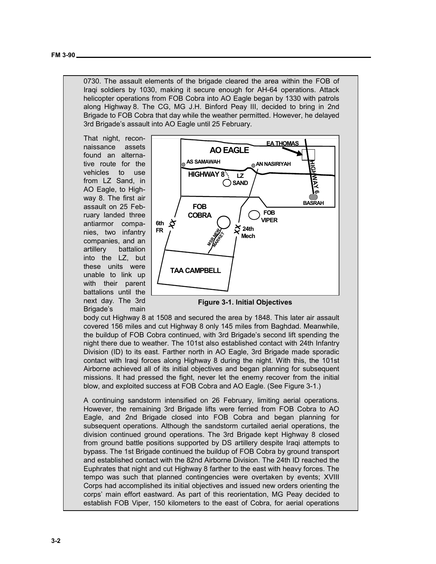0730. The assault elements of the brigade cleared the area within the FOB of Iraqi soldiers by 1030, making it secure enough for AH-64 operations. Attack helicopter operations from FOB Cobra into AO Eagle began by 1330 with patrols along Highway 8. The CG, MG J.H. Binford Peay III, decided to bring in 2nd Brigade to FOB Cobra that day while the weather permitted. However, he delayed 3rd Brigade's assault into AO Eagle until 25 February.

That night, reconnaissance assets found an alternative route for the vehicles to use from LZ Sand, in AO Eagle, to Highway 8. The first air assault on 25 February landed three antiarmor companies, two infantry companies, and an artillery battalion into the LZ, but these units were unable to link up with their parent battalions until the next day. The 3rd Brigade's main





body cut Highway 8 at 1508 and secured the area by 1848. This later air assault covered 156 miles and cut Highway 8 only 145 miles from Baghdad. Meanwhile, the buildup of FOB Cobra continued, with 3rd Brigade's second lift spending the night there due to weather. The 101st also established contact with 24th Infantry Division (ID) to its east. Farther north in AO Eagle, 3rd Brigade made sporadic contact with Iraqi forces along Highway 8 during the night. With this, the 101st Airborne achieved all of its initial objectives and began planning for subsequent missions. It had pressed the fight, never let the enemy recover from the initial blow, and exploited success at FOB Cobra and AO Eagle. (See Figure 3-1.)

A continuing sandstorm intensified on 26 February, limiting aerial operations. However, the remaining 3rd Brigade lifts were ferried from FOB Cobra to AO Eagle, and 2nd Brigade closed into FOB Cobra and began planning for subsequent operations. Although the sandstorm curtailed aerial operations, the division continued ground operations. The 3rd Brigade kept Highway 8 closed from ground battle positions supported by DS artillery despite Iraqi attempts to bypass. The 1st Brigade continued the buildup of FOB Cobra by ground transport and established contact with the 82nd Airborne Division. The 24th ID reached the Euphrates that night and cut Highway 8 farther to the east with heavy forces. The tempo was such that planned contingencies were overtaken by events; XVIII Corps had accomplished its initial objectives and issued new orders orienting the corps' main effort eastward. As part of this reorientation, MG Peay decided to establish FOB Viper, 150 kilometers to the east of Cobra, for aerial operations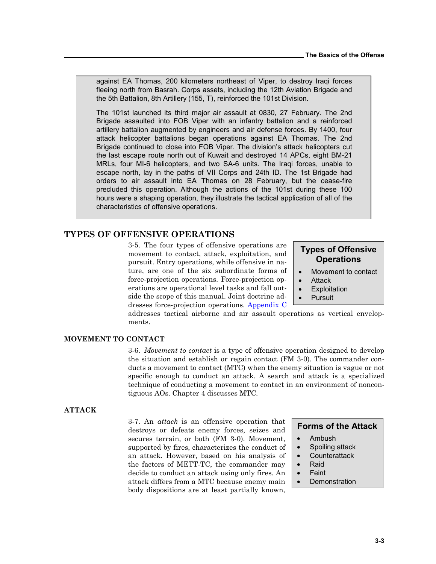against EA Thomas, 200 kilometers northeast of Viper, to destroy Iraqi forces fleeing north from Basrah. Corps assets, including the 12th Aviation Brigade and the 5th Battalion, 8th Artillery (155, T), reinforced the 101st Division.

The 101st launched its third major air assault at 0830, 27 February. The 2nd Brigade assaulted into FOB Viper with an infantry battalion and a reinforced artillery battalion augmented by engineers and air defense forces. By 1400, four attack helicopter battalions began operations against EA Thomas. The 2nd Brigade continued to close into FOB Viper. The division's attack helicopters cut the last escape route north out of Kuwait and destroyed 14 APCs, eight BM-21 MRLs, four MI-6 helicopters, and two SA-6 units. The Iraqi forces, unable to escape north, lay in the paths of VII Corps and 24th ID. The 1st Brigade had orders to air assault into EA Thomas on 28 February, but the cease-fire precluded this operation. Although the actions of the 101st during these 100 hours were a shaping operation, they illustrate the tactical application of all of the characteristics of offensive operations.

# <span id="page-3-0"></span>**TYPES OF OFFENSIVE OPERATIONS**

3-5. The four types of offensive operations are movement to contact, attack, exploitation, and pursuit. Entry operations, while offensive in nature, are one of the six subordinate forms of force-projection operations. Force-projection operations are operational level tasks and fall outside the scope of this manual. Joint doctrine addresses force-projection operations. [Appendix C](#page-0-0)

# **Types of Offensive Operations**

- Movement to contact
- **Attack**
- **•** Exploitation
- Pursuit

addresses tactical airborne and air assault operations as vertical envelopments.

## <span id="page-3-1"></span>**MOVEMENT TO CONTACT**

3-6. *Movement to contact* is a type of offensive operation designed to develop the situation and establish or regain contact (FM 3-0). The commander conducts a movement to contact (MTC) when the enemy situation is vague or not specific enough to conduct an attack. A search and attack is a specialized technique of conducting a movement to contact in an environment of noncontiguous AOs. Chapter 4 discusses MTC.

#### <span id="page-3-2"></span>**ATTACK**

3-7. An *attack* is an offensive operation that destroys or defeats enemy forces, seizes and secures terrain, or both (FM 3-0). Movement, supported by fires, characterizes the conduct of an attack. However, based on his analysis of the factors of METT-TC, the commander may decide to conduct an attack using only fires. An attack differs from a MTC because enemy main body dispositions are at least partially known,

# **Forms of the Attack**

- Ambush
- Spoiling attack
- Counterattack
- Raid
- Feint
- Demonstration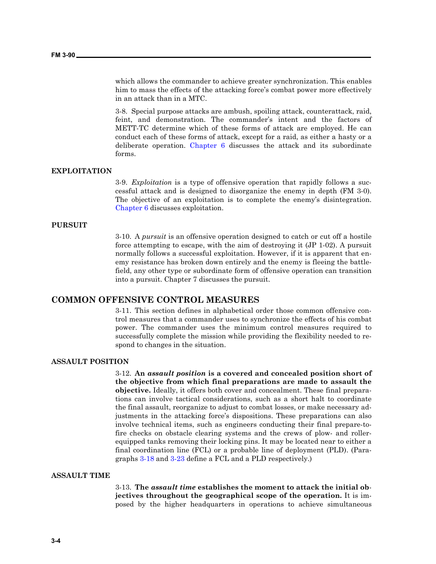which allows the commander to achieve greater synchronization. This enables him to mass the effects of the attacking force's combat power more effectively in an attack than in a MTC.

3-8. Special purpose attacks are ambush, spoiling attack, counterattack, raid, feint, and demonstration. The commander's intent and the factors of METT-TC determine which of these forms of attack are employed. He can conduct each of these forms of attack, except for a raid, as either a hasty or a deliberate operation. [Chapter 6](#page-0-0) discusses the attack and its subordinate forms.

#### <span id="page-4-0"></span>**EXPLOITATION**

3-9. *Exploitation* is a type of offensive operation that rapidly follows a successful attack and is designed to disorganize the enemy in depth (FM 3-0). The objective of an exploitation is to complete the enemy's disintegration. [Chapter](#page-0-0) 6 discusses exploitation.

#### <span id="page-4-1"></span>**PURSUIT**

3-10. A *pursuit* is an offensive operation designed to catch or cut off a hostile force attempting to escape, with the aim of destroying it (JP 1-02). A pursuit normally follows a successful exploitation. However, if it is apparent that enemy resistance has broken down entirely and the enemy is fleeing the battlefield, any other type or subordinate form of offensive operation can transition into a pursuit. Chapter 7 discusses the pursuit.

## <span id="page-4-2"></span>**COMMON OFFENSIVE CONTROL MEASURES**

3-11. This section defines in alphabetical order those common offensive control measures that a commander uses to synchronize the effects of his combat power. The commander uses the minimum control measures required to successfully complete the mission while providing the flexibility needed to respond to changes in the situation.

#### <span id="page-4-3"></span>**ASSAULT POSITION**

3-12. **An** *assault position* **is a covered and concealed position short of the objective from which final preparations are made to assault the objective.** Ideally, it offers both cover and concealment. These final preparations can involve tactical considerations, such as a short halt to coordinate the final assault, reorganize to adjust to combat losses, or make necessary adjustments in the attacking force's dispositions. These preparations can also involve technical items, such as engineers conducting their final prepare-tofire checks on obstacle clearing systems and the crews of plow- and rollerequipped tanks removing their locking pins. It may be located near to either a final coordination line (FCL) or a probable line of deployment (PLD). (Paragraphs [3-18](#page-6-2) and [3-23](#page-9-3) define a FCL and a PLD respectively.)

#### <span id="page-4-4"></span>**ASSAULT TIME**

3-13. **The** *assault time* **establishes the moment to attack the initial objectives throughout the geographical scope of the operation.** It is imposed by the higher headquarters in operations to achieve simultaneous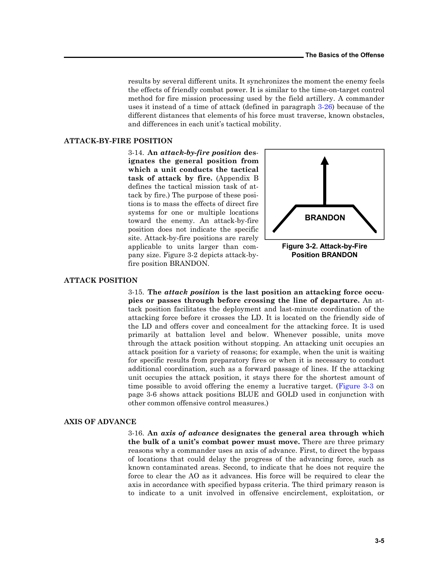results by several different units. It synchronizes the moment the enemy feels the effects of friendly combat power. It is similar to the time-on-target control method for fire mission processing used by the field artillery. A commander uses it instead of a time of attack (defined in paragraph [3-26\)](#page-11-2) because of the different distances that elements of his force must traverse, known obstacles, and differences in each unit's tactical mobility.

#### <span id="page-5-0"></span>**ATTACK-BY-FIRE POSITION**

3-14. **An** *attack-by-fire position* **designates the general position from which a unit conducts the tactical task of attack by fire.** (Appendix B defines the tactical mission task of attack by fire.) The purpose of these positions is to mass the effects of direct fire systems for one or multiple locations toward the enemy. An attack-by-fire position does not indicate the specific site. Attack-by-fire positions are rarely applicable to units larger than company size. Figure 3-2 depicts attack-byfire position BRANDON.



**Figure 3-2. Attack-by-Fire Position BRANDON**

#### <span id="page-5-1"></span>**ATTACK POSITION**

3-15. **The** *attack position* **is the last position an attacking force occupies or passes through before crossing the line of departure.** An attack position facilitates the deployment and last-minute coordination of the attacking force before it crosses the LD. It is located on the friendly side of the LD and offers cover and concealment for the attacking force. It is used primarily at battalion level and below. Whenever possible, units move through the attack position without stopping. An attacking unit occupies an attack position for a variety of reasons; for example, when the unit is waiting for specific results from preparatory fires or when it is necessary to conduct additional coordination, such as a forward passage of lines. If the attacking unit occupies the attack position, it stays there for the shortest amount of time possible to avoid offering the enemy a lucrative target. [\(Figure 3-3](#page-6-3) on page 3-6 shows attack positions BLUE and GOLD used in conjunction with other common offensive control measures.)

#### <span id="page-5-2"></span>**AXIS OF ADVANCE**

3-16. **An** *axis of advance* **designates the general area through which the bulk of a unit's combat power must move.** There are three primary reasons why a commander uses an axis of advance. First, to direct the bypass of locations that could delay the progress of the advancing force, such as known contaminated areas. Second, to indicate that he does not require the force to clear the AO as it advances. His force will be required to clear the axis in accordance with specified bypass criteria. The third primary reason is to indicate to a unit involved in offensive encirclement, exploitation, or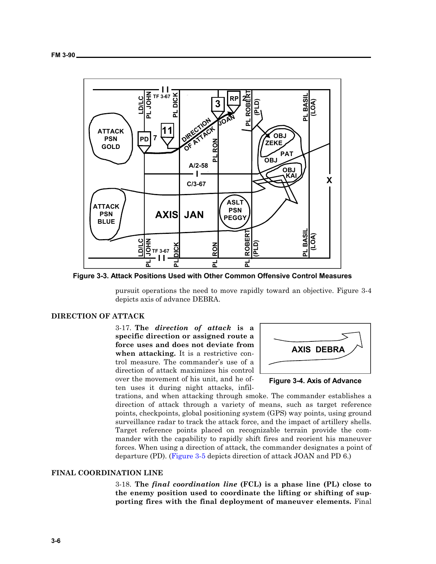<span id="page-6-3"></span>

<span id="page-6-2"></span>**Figure 3-3. Attack Positions Used with Other Common Offensive Control Measures**

pursuit operations the need to move rapidly toward an objective. Figure 3-4 depicts axis of advance DEBRA.

## <span id="page-6-0"></span>**DIRECTION OF ATTACK**

3-17. **The** *direction of attack* **is a specific direction or assigned route a force uses and does not deviate from when attacking.** It is a restrictive control measure. The commander's use of a direction of attack maximizes his control over the movement of his unit, and he often uses it during night attacks, infil-



**Figure 3-4. Axis of Advance**

trations, and when attacking through smoke. The commander establishes a direction of attack through a variety of means, such as target reference points, checkpoints, global positioning system (GPS) way points, using ground surveillance radar to track the attack force, and the impact of artillery shells. Target reference points placed on recognizable terrain provide the commander with the capability to rapidly shift fires and reorient his maneuver forces. When using a direction of attack, the commander designates a point of departure (PD)[. \(Figure 3-5](#page-7-1) depicts direction of attack JOAN and PD 6.)

## <span id="page-6-1"></span>**FINAL COORDINATION LINE**

3-18. **The** *final coordination line* **(FCL) is a phase line (PL) close to the enemy position used to coordinate the lifting or shifting of supporting fires with the final deployment of maneuver elements.** Final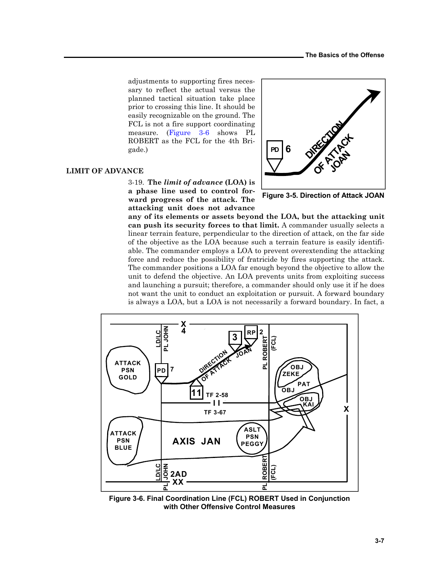<span id="page-7-1"></span>adjustments to supporting fires necessary to reflect the actual versus the planned tactical situation take place prior to crossing this line. It should be easily recognizable on the ground. The FCL is not a fire support coordinating measure. (Figure 3-6 shows PL ROBERT as the FCL for the 4th Brigade.)

#### <span id="page-7-0"></span> **LIMIT OF ADVANCE**

3-19. **The** *limit of advance* **(LOA) is a phase line used to control forward progress of the attack. The attacking unit does not advance**



**Figure 3-5. Direction of Attack JOAN**

**any of its elements or assets beyond the LOA, but the attacking unit can push its security forces to that limit.** A commander usually selects a linear terrain feature, perpendicular to the direction of attack, on the far side of the objective as the LOA because such a terrain feature is easily identifiable. The commander employs a LOA to prevent overextending the attacking force and reduce the possibility of fratricide by fires supporting the attack. The commander positions a LOA far enough beyond the objective to allow the unit to defend the objective. An LOA prevents units from exploiting success and launching a pursuit; therefore, a commander should only use it if he does not want the unit to conduct an exploitation or pursuit. A forward boundary is always a LOA, but a LOA is not necessarily a forward boundary. In fact, a



**Figure 3-6. Final Coordination Line (FCL) ROBERT Used in Conjunction with Other Offensive Control Measures**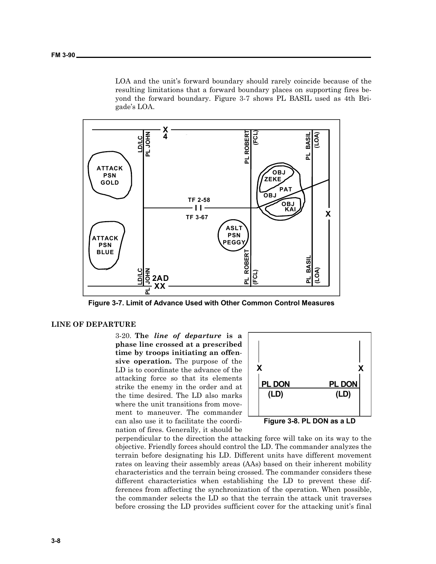LOA and the unit's forward boundary should rarely coincide because of the resulting limitations that a forward boundary places on supporting fires beyond the forward boundary. Figure 3-7 shows PL BASIL used as 4th Brigade's LOA.

<span id="page-8-0"></span>

**Figure 3-7. Limit of Advance Used with Other Common Control Measures**

#### **LINE OF DEPARTURE**

3-20. **The** *line of departure* **is a phase line crossed at a prescribed time by troops initiating an offensive operation.** The purpose of the LD is to coordinate the advance of the attacking force so that its elements strike the enemy in the order and at the time desired. The LD also marks where the unit transitions from movement to maneuver. The commander can also use it to facilitate the coordination of fires. Generally, it should be



perpendicular to the direction the attacking force will take on its way to the objective. Friendly forces should control the LD. The commander analyzes the terrain before designating his LD. Different units have different movement rates on leaving their assembly areas (AAs) based on their inherent mobility characteristics and the terrain being crossed. The commander considers these different characteristics when establishing the LD to prevent these differences from affecting the synchronization of the operation. When possible, the commander selects the LD so that the terrain the attack unit traverses before crossing the LD provides sufficient cover for the attacking unit's final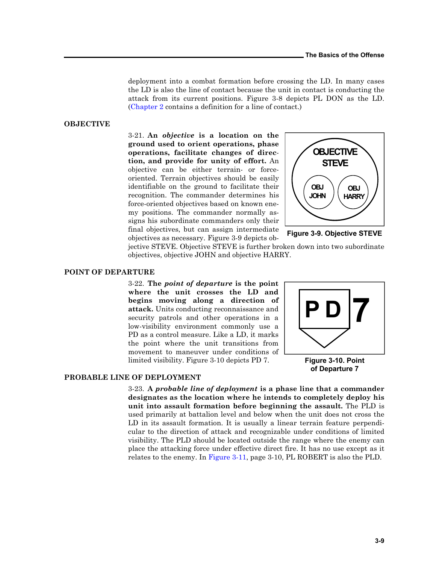deployment into a combat formation before crossing the LD. In many cases the LD is also the line of contact because the unit in contact is conducting the attack from its current positions. Figure 3-8 depicts PL DON as the LD. [\(Chapter 2](#page-0-0) contains a definition for a line of contact.)

#### <span id="page-9-0"></span>**OBJECTIVE**

3-21. **An** *objective* **is a location on the ground used to orient operations, phase operations, facilitate changes of direction, and provide for unity of effort.** An objective can be either terrain- or forceoriented. Terrain objectives should be easily identifiable on the ground to facilitate their recognition. The commander determines his force-oriented objectives based on known enemy positions. The commander normally assigns his subordinate commanders only their final objectives, but can assign intermediate objectives as necessary. Figure 3-9 depicts ob-



**Figure 3-9. Objective STEVE**

jective STEVE. Objective STEVE is further broken down into two subordinate objectives, objective JOHN and objective HARRY.

## <span id="page-9-1"></span>**POINT OF DEPARTURE**

3-22. **The** *point of departure* **is the point where the unit crosses the LD and begins moving along a direction of attack.** Units conducting reconnaissance and security patrols and other operations in a low-visibility environment commonly use a PD as a control measure. Like a LD, it marks the point where the unit transitions from movement to maneuver under conditions of limited visibility. Figure 3-10 depicts PD 7.



**Figure 3-10. Point of Departure 7**

#### <span id="page-9-2"></span>**PROBABLE LINE OF DEPLOYMENT**

<span id="page-9-3"></span>3-23. **A** *probable line of deployment* **is a phase line that a commander designates as the location where he intends to completely deploy his unit into assault formation before beginning the assault.** The PLD is used primarily at battalion level and below when the unit does not cross the LD in its assault formation. It is usually a linear terrain feature perpendicular to the direction of attack and recognizable under conditions of limited visibility. The PLD should be located outside the range where the enemy can place the attacking force under effective direct fire. It has no use except as it relates to the enemy. In [Figure](#page-10-2) 3-11, page 3-10, PL ROBERT is also the PLD.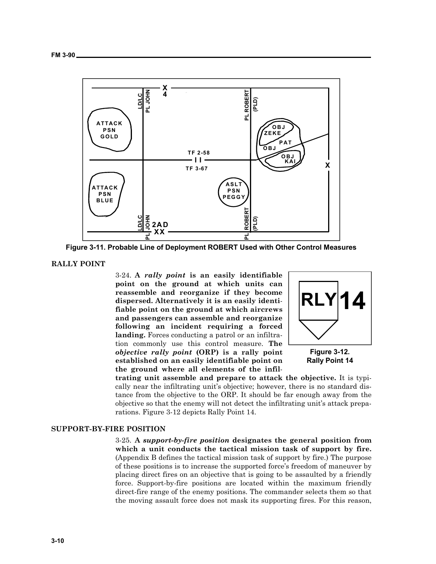<span id="page-10-2"></span><span id="page-10-0"></span>

**Figure 3-11. Probable Line of Deployment ROBERT Used with Other Control Measures**

# **RALLY POINT**

3-24. **A** *rally point* **is an easily identifiable point on the ground at which units can reassemble and reorganize if they become dispersed. Alternatively it is an easily identifiable point on the ground at which aircrews and passengers can assemble and reorganize following an incident requiring a forced landing.** Forces conducting a patrol or an infiltration commonly use this control measure. **The** *objective rally point* **(ORP) is a rally point established on an easily identifiable point on the ground where all elements of the infil**-



**Figure 3-12. Rally Point 14**

**trating unit assemble and prepare to attack the objective.** It is typically near the infiltrating unit's objective; however, there is no standard distance from the objective to the ORP. It should be far enough away from the objective so that the enemy will not detect the infiltrating unit's attack preparations. Figure 3-12 depicts Rally Point 14.

### <span id="page-10-1"></span>**SUPPORT-BY-FIRE POSITION**

3-25. **A** *support-by-fire position* **designates the general position from which a unit conducts the tactical mission task of support by fire.** (Appendix B defines the tactical mission task of support by fire.) The purpose of these positions is to increase the supported force's freedom of maneuver by placing direct fires on an objective that is going to be assaulted by a friendly force. Support-by-fire positions are located within the maximum friendly direct-fire range of the enemy positions. The commander selects them so that the moving assault force does not mask its supporting fires. For this reason,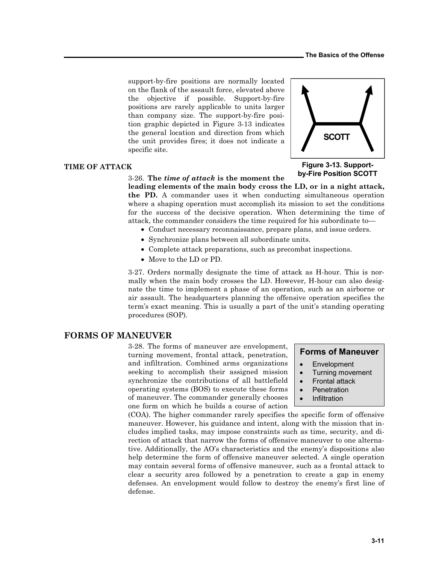support-by-fire positions are normally located on the flank of the assault force, elevated above the objective if possible. Support-by-fire positions are rarely applicable to units larger than company size. The support-by-fire position graphic depicted in Figure 3-13 indicates the general location and direction from which the unit provides fires; it does not indicate a specific site.



**Figure 3-13. Supportby-Fire Position SCOTT**

## <span id="page-11-0"></span>**TIME OF ATTACK**

#### <span id="page-11-2"></span>3-26. **The** *time of attack* **is the moment the**

**leading elements of the main body cross the LD, or in a night attack, the PD.** A commander uses it when conducting simultaneous operation where a shaping operation must accomplish its mission to set the conditions for the success of the decisive operation. When determining the time of attack, the commander considers the time required for his subordinate to—

- Conduct necessary reconnaissance, prepare plans, and issue orders.
- Synchronize plans between all subordinate units.
- Complete attack preparations, such as precombat inspections.
- Move to the LD or PD.

3-27. Orders normally designate the time of attack as H-hour. This is normally when the main body crosses the LD. However, H-hour can also designate the time to implement a phase of an operation, such as an airborne or air assault. The headquarters planning the offensive operation specifies the term's exact meaning. This is usually a part of the unit's standing operating procedures (SOP).

## <span id="page-11-1"></span>**FORMS OF MANEUVER**

3-28. The forms of maneuver are envelopment, turning movement, frontal attack, penetration, and infiltration. Combined arms organizations seeking to accomplish their assigned mission synchronize the contributions of all battlefield operating systems (BOS) to execute these forms of maneuver. The commander generally chooses one form on which he builds a course of action

#### **Forms of Maneuver**

- Envelopment
- Turning movement
- Frontal attack
- **Penetration** 
	- Infiltration

(COA). The higher commander rarely specifies the specific form of offensive maneuver. However, his guidance and intent, along with the mission that includes implied tasks, may impose constraints such as time, security, and direction of attack that narrow the forms of offensive maneuver to one alternative. Additionally, the AO's characteristics and the enemy's dispositions also help determine the form of offensive maneuver selected. A single operation may contain several forms of offensive maneuver, such as a frontal attack to clear a security area followed by a penetration to create a gap in enemy defenses. An envelopment would follow to destroy the enemy's first line of defense.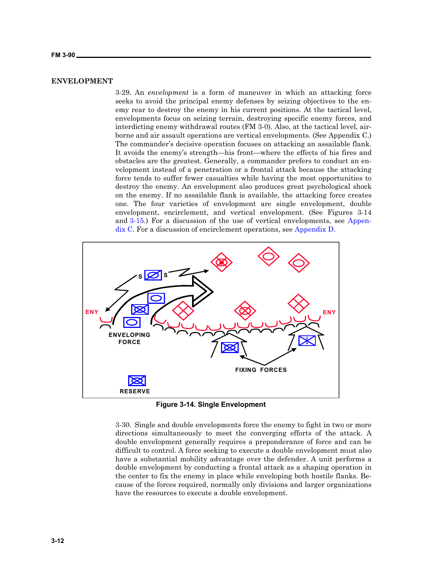#### <span id="page-12-0"></span>**ENVELOPMENT**

3-29. An *envelopment* is a form of maneuver in which an attacking force seeks to avoid the principal enemy defenses by seizing objectives to the enemy rear to destroy the enemy in his current positions. At the tactical level, envelopments focus on seizing terrain, destroying specific enemy forces, and interdicting enemy withdrawal routes (FM 3-0). Also, at the tactical level, airborne and air assault operations are vertical envelopments. (See Appendix C.) The commander's decisive operation focuses on attacking an assailable flank. It avoids the enemy's strength—his front—where the effects of his fires and obstacles are the greatest. Generally, a commander prefers to conduct an envelopment instead of a penetration or a frontal attack because the attacking force tends to suffer fewer casualties while having the most opportunities to destroy the enemy. An envelopment also produces great psychological shock on the enemy. If no assailable flank is available, the attacking force creates one. The four varieties of envelopment are single envelopment, double envelopment, encirclement, and vertical envelopment. (See Figures 3-14 and [3-15.\)](#page-13-0) For a discussion of the use of vertical envelopments, see [Appen](#page-0-0)[dix C.](#page-0-0) For a discussion of encirclement operations, see [Appendix D.](#page-0-0)



**Figure 3-14. Single Envelopment**

3-30. Single and double envelopments force the enemy to fight in two or more directions simultaneously to meet the converging efforts of the attack. A double envelopment generally requires a preponderance of force and can be difficult to control. A force seeking to execute a double envelopment must also have a substantial mobility advantage over the defender. A unit performs a double envelopment by conducting a frontal attack as a shaping operation in the center to fix the enemy in place while enveloping both hostile flanks. Because of the forces required, normally only divisions and larger organizations have the resources to execute a double envelopment.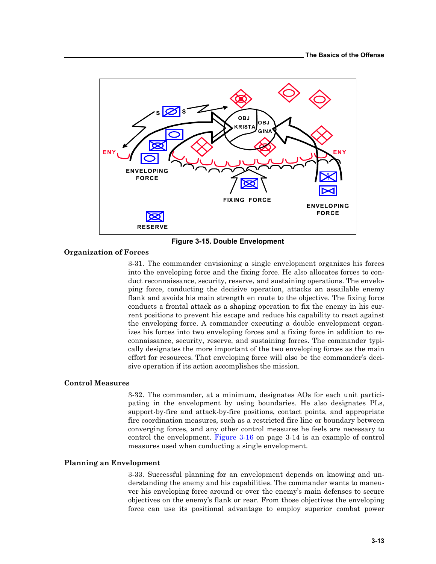<span id="page-13-0"></span>

**Figure 3-15. Double Envelopment**

#### **Organization of Forces**

3-31. The commander envisioning a single envelopment organizes his forces into the enveloping force and the fixing force. He also allocates forces to conduct reconnaissance, security, reserve, and sustaining operations. The enveloping force, conducting the decisive operation, attacks an assailable enemy flank and avoids his main strength en route to the objective. The fixing force conducts a frontal attack as a shaping operation to fix the enemy in his current positions to prevent his escape and reduce his capability to react against the enveloping force. A commander executing a double envelopment organizes his forces into two enveloping forces and a fixing force in addition to reconnaissance, security, reserve, and sustaining forces. The commander typically designates the more important of the two enveloping forces as the main effort for resources. That enveloping force will also be the commander's decisive operation if its action accomplishes the mission.

#### **Control Measures**

3-32. The commander, at a minimum, designates AOs for each unit participating in the envelopment by using boundaries. He also designates PLs, support-by-fire and attack-by-fire positions, contact points, and appropriate fire coordination measures, such as a restricted fire line or boundary between converging forces, and any other control measures he feels are necessary to control the envelopment. [Figure](#page-14-0) 3-16 on page 3-14 is an example of control measures used when conducting a single envelopment.

#### **Planning an Envelopment**

3-33. Successful planning for an envelopment depends on knowing and understanding the enemy and his capabilities. The commander wants to maneuver his enveloping force around or over the enemy's main defenses to secure objectives on the enemy's flank or rear. From those objectives the enveloping force can use its positional advantage to employ superior combat power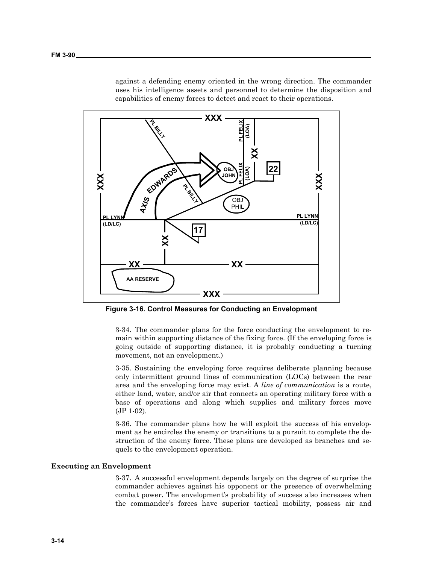<span id="page-14-0"></span>

against a defending enemy oriented in the wrong direction. The commander uses his intelligence assets and personnel to determine the disposition and capabilities of enemy forces to detect and react to their operations.

**Figure 3-16. Control Measures for Conducting an Envelopment**

3-34. The commander plans for the force conducting the envelopment to remain within supporting distance of the fixing force. (If the enveloping force is going outside of supporting distance, it is probably conducting a turning movement, not an envelopment.)

3-35. Sustaining the enveloping force requires deliberate planning because only intermittent ground lines of communication (LOCs) between the rear area and the enveloping force may exist. A *line of communication* is a route, either land, water, and/or air that connects an operating military force with a base of operations and along which supplies and military forces move (JP 1-02).

3-36. The commander plans how he will exploit the success of his envelopment as he encircles the enemy or transitions to a pursuit to complete the destruction of the enemy force. These plans are developed as branches and sequels to the envelopment operation.

#### **Executing an Envelopment**

3-37. A successful envelopment depends largely on the degree of surprise the commander achieves against his opponent or the presence of overwhelming combat power. The envelopment's probability of success also increases when the commander's forces have superior tactical mobility, possess air and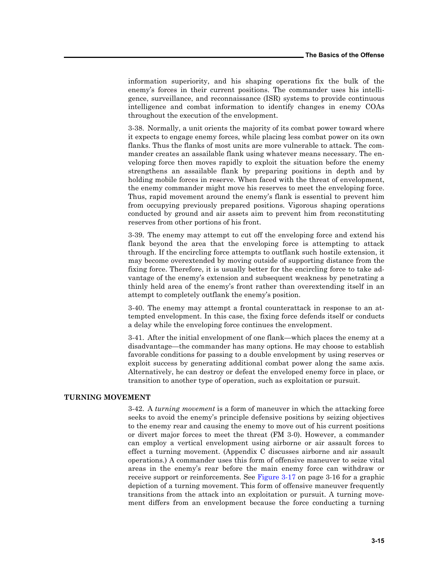information superiority, and his shaping operations fix the bulk of the enemy's forces in their current positions. The commander uses his intelligence, surveillance, and reconnaissance (ISR) systems to provide continuous intelligence and combat information to identify changes in enemy COAs throughout the execution of the envelopment.

3-38. Normally, a unit orients the majority of its combat power toward where it expects to engage enemy forces, while placing less combat power on its own flanks. Thus the flanks of most units are more vulnerable to attack. The commander creates an assailable flank using whatever means necessary. The enveloping force then moves rapidly to exploit the situation before the enemy strengthens an assailable flank by preparing positions in depth and by holding mobile forces in reserve. When faced with the threat of envelopment, the enemy commander might move his reserves to meet the enveloping force. Thus, rapid movement around the enemy's flank is essential to prevent him from occupying previously prepared positions. Vigorous shaping operations conducted by ground and air assets aim to prevent him from reconstituting reserves from other portions of his front.

3-39. The enemy may attempt to cut off the enveloping force and extend his flank beyond the area that the enveloping force is attempting to attack through. If the encircling force attempts to outflank such hostile extension, it may become overextended by moving outside of supporting distance from the fixing force. Therefore, it is usually better for the encircling force to take advantage of the enemy's extension and subsequent weakness by penetrating a thinly held area of the enemy's front rather than overextending itself in an attempt to completely outflank the enemy's position.

3-40. The enemy may attempt a frontal counterattack in response to an attempted envelopment. In this case, the fixing force defends itself or conducts a delay while the enveloping force continues the envelopment.

3-41. After the initial envelopment of one flank—which places the enemy at a disadvantage—the commander has many options. He may choose to establish favorable conditions for passing to a double envelopment by using reserves or exploit success by generating additional combat power along the same axis. Alternatively, he can destroy or defeat the enveloped enemy force in place, or transition to another type of operation, such as exploitation or pursuit.

#### <span id="page-15-0"></span>**TURNING MOVEMENT**

3-42. A *turning movement* is a form of maneuver in which the attacking force seeks to avoid the enemy's principle defensive positions by seizing objectives to the enemy rear and causing the enemy to move out of his current positions or divert major forces to meet the threat (FM 3-0). However, a commander can employ a vertical envelopment using airborne or air assault forces to effect a turning movement. (Appendix C discusses airborne and air assault operations.) A commander uses this form of offensive maneuver to seize vital areas in the enemy's rear before the main enemy force can withdraw or receive support or reinforcements. See [Figure](#page-16-0) 3-17 on page 3-16 for a graphic depiction of a turning movement. This form of offensive maneuver frequently transitions from the attack into an exploitation or pursuit. A turning movement differs from an envelopment because the force conducting a turning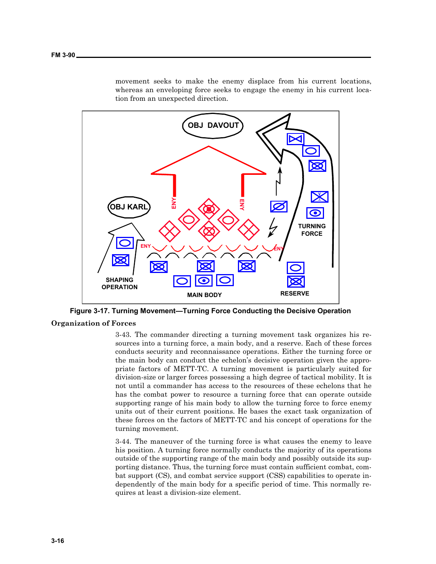<span id="page-16-0"></span>

movement seeks to make the enemy displace from his current locations, whereas an enveloping force seeks to engage the enemy in his current location from an unexpected direction.

**Figure 3-17. Turning Movement—Turning Force Conducting the Decisive Operation**

**Organization of Forces**

3-43. The commander directing a turning movement task organizes his resources into a turning force, a main body, and a reserve. Each of these forces conducts security and reconnaissance operations. Either the turning force or the main body can conduct the echelon's decisive operation given the appropriate factors of METT-TC. A turning movement is particularly suited for division-size or larger forces possessing a high degree of tactical mobility. It is not until a commander has access to the resources of these echelons that he has the combat power to resource a turning force that can operate outside supporting range of his main body to allow the turning force to force enemy units out of their current positions. He bases the exact task organization of these forces on the factors of METT-TC and his concept of operations for the turning movement.

3-44. The maneuver of the turning force is what causes the enemy to leave his position. A turning force normally conducts the majority of its operations outside of the supporting range of the main body and possibly outside its supporting distance. Thus, the turning force must contain sufficient combat, combat support (CS), and combat service support (CSS) capabilities to operate independently of the main body for a specific period of time. This normally requires at least a division-size element.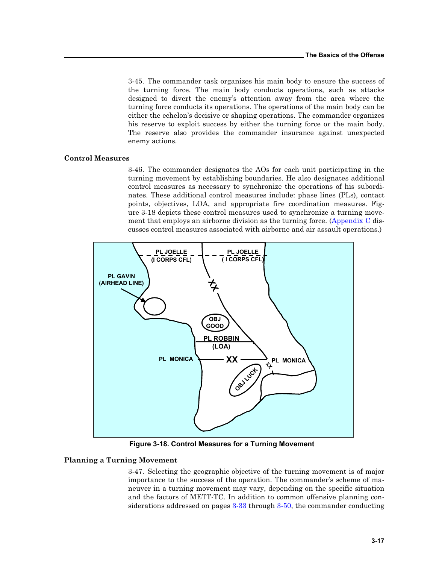3-45. The commander task organizes his main body to ensure the success of the turning force. The main body conducts operations, such as attacks designed to divert the enemy's attention away from the area where the turning force conducts its operations. The operations of the main body can be either the echelon's decisive or shaping operations. The commander organizes his reserve to exploit success by either the turning force or the main body. The reserve also provides the commander insurance against unexpected enemy actions.

#### **Control Measures**

3-46. The commander designates the AOs for each unit participating in the turning movement by establishing boundaries. He also designates additional control measures as necessary to synchronize the operations of his subordinates. These additional control measures include: phase lines (PLs), contact points, objectives, LOA, and appropriate fire coordination measures. Figure 3-18 depicts these control measures used to synchronize a turning movement that employs an airborne division as the turning force. [\(Appendix](#page-0-0) C discusses control measures associated with airborne and air assault operations.)



**Figure 3-18. Control Measures for a Turning Movement**

## **Planning a Turning Movement**

3-47. Selecting the geographic objective of the turning movement is of major importance to the success of the operation. The commander's scheme of maneuver in a turning movement may vary, depending on the specific situation and the factors of METT-TC. In addition to common offensive planning considerations addressed on pages [3-33](#page-33-2) throug[h 3-50](#page-50-1), the commander conducting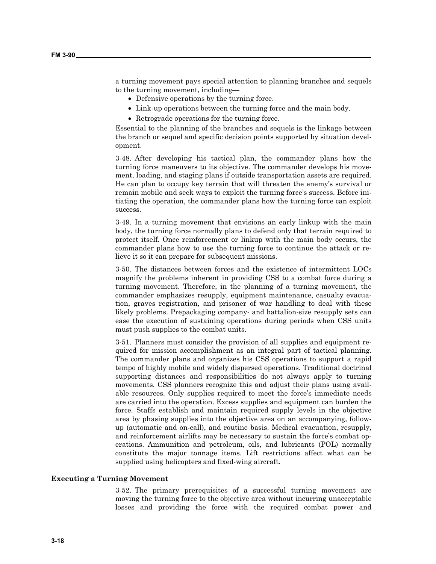a turning movement pays special attention to planning branches and sequels to the turning movement, including—

- Defensive operations by the turning force.
- Link-up operations between the turning force and the main body.
- Retrograde operations for the turning force.

Essential to the planning of the branches and sequels is the linkage between the branch or sequel and specific decision points supported by situation development.

3-48. After developing his tactical plan, the commander plans how the turning force maneuvers to its objective. The commander develops his movement, loading, and staging plans if outside transportation assets are required. He can plan to occupy key terrain that will threaten the enemy's survival or remain mobile and seek ways to exploit the turning force's success. Before initiating the operation, the commander plans how the turning force can exploit success.

3-49. In a turning movement that envisions an early linkup with the main body, the turning force normally plans to defend only that terrain required to protect itself. Once reinforcement or linkup with the main body occurs, the commander plans how to use the turning force to continue the attack or relieve it so it can prepare for subsequent missions.

3-50. The distances between forces and the existence of intermittent LOCs magnify the problems inherent in providing CSS to a combat force during a turning movement. Therefore, in the planning of a turning movement, the commander emphasizes resupply, equipment maintenance, casualty evacuation, graves registration, and prisoner of war handling to deal with these likely problems. Prepackaging company- and battalion-size resupply sets can ease the execution of sustaining operations during periods when CSS units must push supplies to the combat units.

3-51. Planners must consider the provision of all supplies and equipment required for mission accomplishment as an integral part of tactical planning. The commander plans and organizes his CSS operations to support a rapid tempo of highly mobile and widely dispersed operations. Traditional doctrinal supporting distances and responsibilities do not always apply to turning movements. CSS planners recognize this and adjust their plans using available resources. Only supplies required to meet the force's immediate needs are carried into the operation. Excess supplies and equipment can burden the force. Staffs establish and maintain required supply levels in the objective area by phasing supplies into the objective area on an accompanying, followup (automatic and on-call), and routine basis. Medical evacuation, resupply, and reinforcement airlifts may be necessary to sustain the force's combat operations. Ammunition and petroleum, oils, and lubricants (POL) normally constitute the major tonnage items. Lift restrictions affect what can be supplied using helicopters and fixed-wing aircraft.

#### **Executing a Turning Movement**

3-52. The primary prerequisites of a successful turning movement are moving the turning force to the objective area without incurring unacceptable losses and providing the force with the required combat power and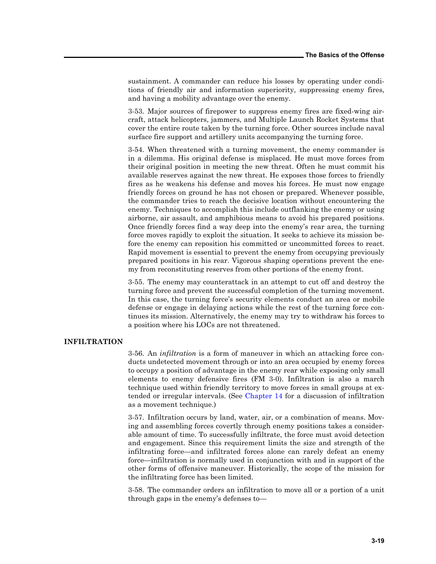sustainment. A commander can reduce his losses by operating under conditions of friendly air and information superiority, suppressing enemy fires, and having a mobility advantage over the enemy.

3-53. Major sources of firepower to suppress enemy fires are fixed-wing aircraft, attack helicopters, jammers, and Multiple Launch Rocket Systems that cover the entire route taken by the turning force. Other sources include naval surface fire support and artillery units accompanying the turning force.

3-54. When threatened with a turning movement, the enemy commander is in a dilemma. His original defense is misplaced. He must move forces from their original position in meeting the new threat. Often he must commit his available reserves against the new threat. He exposes those forces to friendly fires as he weakens his defense and moves his forces. He must now engage friendly forces on ground he has not chosen or prepared. Whenever possible, the commander tries to reach the decisive location without encountering the enemy. Techniques to accomplish this include outflanking the enemy or using airborne, air assault, and amphibious means to avoid his prepared positions. Once friendly forces find a way deep into the enemy's rear area, the turning force moves rapidly to exploit the situation. It seeks to achieve its mission before the enemy can reposition his committed or uncommitted forces to react. Rapid movement is essential to prevent the enemy from occupying previously prepared positions in his rear. Vigorous shaping operations prevent the enemy from reconstituting reserves from other portions of the enemy front.

3-55. The enemy may counterattack in an attempt to cut off and destroy the turning force and prevent the successful completion of the turning movement. In this case, the turning force's security elements conduct an area or mobile defense or engage in delaying actions while the rest of the turning force continues its mission. Alternatively, the enemy may try to withdraw his forces to a position where his LOCs are not threatened.

#### <span id="page-19-0"></span>**INFILTRATION**

3-56. An *infiltration* is a form of maneuver in which an attacking force conducts undetected movement through or into an area occupied by enemy forces to occupy a position of advantage in the enemy rear while exposing only small elements to enemy defensive fires (FM 3-0). Infiltration is also a march technique used within friendly territory to move forces in small groups at extended or irregular intervals. (See [Chapter 14 fo](#page-0-0)r a discussion of infiltration as a movement technique.)

3-57. Infiltration occurs by land, water, air, or a combination of means. Moving and assembling forces covertly through enemy positions takes a considerable amount of time. To successfully infiltrate, the force must avoid detection and engagement. Since this requirement limits the size and strength of the infiltrating force—and infiltrated forces alone can rarely defeat an enemy force—infiltration is normally used in conjunction with and in support of the other forms of offensive maneuver. Historically, the scope of the mission for the infiltrating force has been limited.

3-58. The commander orders an infiltration to move all or a portion of a unit through gaps in the enemy's defenses to—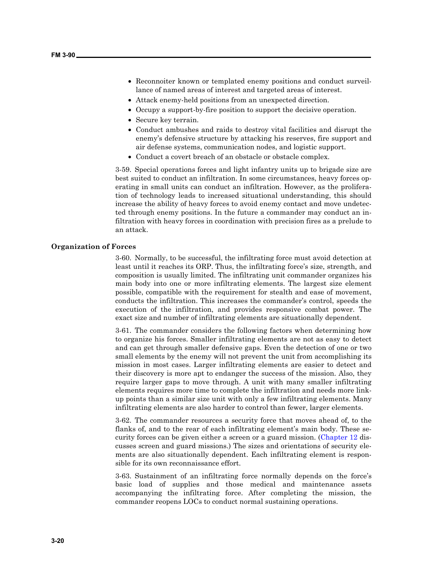- Reconnoiter known or templated enemy positions and conduct surveillance of named areas of interest and targeted areas of interest.
- Attack enemy-held positions from an unexpected direction.
- Occupy a support-by-fire position to support the decisive operation.
- Secure key terrain.
- Conduct ambushes and raids to destroy vital facilities and disrupt the enemy's defensive structure by attacking his reserves, fire support and air defense systems, communication nodes, and logistic support.
- Conduct a covert breach of an obstacle or obstacle complex.

3-59. Special operations forces and light infantry units up to brigade size are best suited to conduct an infiltration. In some circumstances, heavy forces operating in small units can conduct an infiltration. However, as the proliferation of technology leads to increased situational understanding, this should increase the ability of heavy forces to avoid enemy contact and move undetected through enemy positions. In the future a commander may conduct an infiltration with heavy forces in coordination with precision fires as a prelude to an attack.

#### **Organization of Forces**

3-60. Normally, to be successful, the infiltrating force must avoid detection at least until it reaches its ORP. Thus, the infiltrating force's size, strength, and composition is usually limited. The infiltrating unit commander organizes his main body into one or more infiltrating elements. The largest size element possible, compatible with the requirement for stealth and ease of movement, conducts the infiltration. This increases the commander's control, speeds the execution of the infiltration, and provides responsive combat power. The exact size and number of infiltrating elements are situationally dependent.

3-61. The commander considers the following factors when determining how to organize his forces. Smaller infiltrating elements are not as easy to detect and can get through smaller defensive gaps. Even the detection of one or two small elements by the enemy will not prevent the unit from accomplishing its mission in most cases. Larger infiltrating elements are easier to detect and their discovery is more apt to endanger the success of the mission. Also, they require larger gaps to move through. A unit with many smaller infiltrating elements requires more time to complete the infiltration and needs more linkup points than a similar size unit with only a few infiltrating elements. Many infiltrating elements are also harder to control than fewer, larger elements.

3-62. The commander resources a security force that moves ahead of, to the flanks of, and to the rear of each infiltrating element's main body. These security forces can be given either a screen or a guard mission. [\(Chapter 12](#page-0-0) discusses screen and guard missions.) The sizes and orientations of security elements are also situationally dependent. Each infiltrating element is responsible for its own reconnaissance effort.

3-63. Sustainment of an infiltrating force normally depends on the force's basic load of supplies and those medical and maintenance assets accompanying the infiltrating force. After completing the mission, the commander reopens LOCs to conduct normal sustaining operations.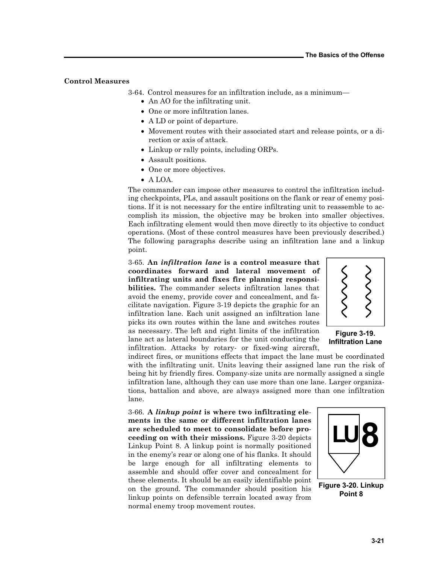#### **Control Measures**

3-64. Control measures for an infiltration include, as a minimum—

- An AO for the infiltrating unit.
- One or more infiltration lanes.
- A LD or point of departure.
- Movement routes with their associated start and release points, or a direction or axis of attack.
- Linkup or rally points, including ORPs.
- Assault positions.
- One or more objectives.
- A LOA.

The commander can impose other measures to control the infiltration including checkpoints, PLs, and assault positions on the flank or rear of enemy positions. If it is not necessary for the entire infiltrating unit to reassemble to accomplish its mission, the objective may be broken into smaller objectives. Each infiltrating element would then move directly to its objective to conduct operations. (Most of these control measures have been previously described.) The following paragraphs describe using an infiltration lane and a linkup point.

3-65. **An** *infiltration lane* **is a control measure that coordinates forward and lateral movement of infiltrating units and fixes fire planning responsibilities.** The commander selects infiltration lanes that avoid the enemy, provide cover and concealment, and facilitate navigation. Figure 3-19 depicts the graphic for an infiltration lane. Each unit assigned an infiltration lane picks its own routes within the lane and switches routes as necessary. The left and right limits of the infiltration lane act as lateral boundaries for the unit conducting the infiltration. Attacks by rotary- or fixed-wing aircraft,



**Figure 3-19. Infiltration Lane**

indirect fires, or munitions effects that impact the lane must be coordinated with the infiltrating unit. Units leaving their assigned lane run the risk of being hit by friendly fires. Company-size units are normally assigned a single infiltration lane, although they can use more than one lane. Larger organizations, battalion and above, are always assigned more than one infiltration lane.

3-66. **A** *linkup point* **is where two infiltrating elements in the same or different infiltration lanes are scheduled to meet to consolidate before proceeding on with their missions.** Figure 3-20 depicts Linkup Point 8. A linkup point is normally positioned in the enemy's rear or along one of his flanks. It should be large enough for all infiltrating elements to assemble and should offer cover and concealment for these elements. It should be an easily identifiable point on the ground. The commander should position his linkup points on defensible terrain located away from normal enemy troop movement routes.



**Figure 3-20. Linkup Point 8**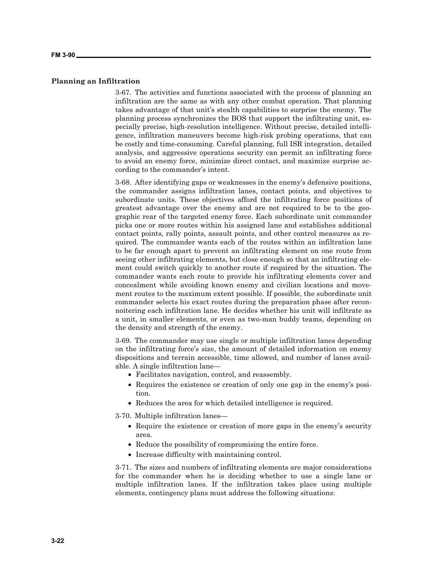## **Planning an Infiltration**

3-67. The activities and functions associated with the process of planning an infiltration are the same as with any other combat operation. That planning takes advantage of that unit's stealth capabilities to surprise the enemy. The planning process synchronizes the BOS that support the infiltrating unit, especially precise, high-resolution intelligence. Without precise, detailed intelligence, infiltration maneuvers become high-risk probing operations, that can be costly and time-consuming. Careful planning, full ISR integration, detailed analysis, and aggressive operations security can permit an infiltrating force to avoid an enemy force, minimize direct contact, and maximize surprise according to the commander's intent.

3-68. After identifying gaps or weaknesses in the enemy's defensive positions, the commander assigns infiltration lanes, contact points, and objectives to subordinate units. These objectives afford the infiltrating force positions of greatest advantage over the enemy and are not required to be to the geographic rear of the targeted enemy force. Each subordinate unit commander picks one or more routes within his assigned lane and establishes additional contact points, rally points, assault points, and other control measures as required. The commander wants each of the routes within an infiltration lane to be far enough apart to prevent an infiltrating element on one route from seeing other infiltrating elements, but close enough so that an infiltrating element could switch quickly to another route if required by the situation. The commander wants each route to provide his infiltrating elements cover and concealment while avoiding known enemy and civilian locations and movement routes to the maximum extent possible. If possible, the subordinate unit commander selects his exact routes during the preparation phase after reconnoitering each infiltration lane. He decides whether his unit will infiltrate as a unit, in smaller elements, or even as two-man buddy teams, depending on the density and strength of the enemy.

3-69. The commander may use single or multiple infiltration lanes depending on the infiltrating force's size, the amount of detailed information on enemy dispositions and terrain accessible, time allowed, and number of lanes available. A single infiltration lane—

- Facilitates navigation, control, and reassembly.
- Requires the existence or creation of only one gap in the enemy's position.
- Reduces the area for which detailed intelligence is required.

3-70. Multiple infiltration lanes—

- Require the existence or creation of more gaps in the enemy's security area.
- Reduce the possibility of compromising the entire force.
- Increase difficulty with maintaining control.

3-71. The sizes and numbers of infiltrating elements are major considerations for the commander when he is deciding whether to use a single lane or multiple infiltration lanes. If the infiltration takes place using multiple elements, contingency plans must address the following situations: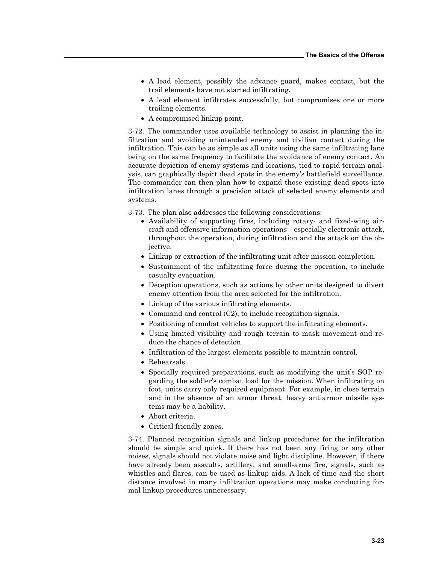- A lead element, possibly the advance guard, makes contact, but the trail elements have not started infiltrating.
- A lead element infiltrates successfully, but compromises one or more trailing elements.
- A compromised linkup point.

3-72. The commander uses available technology to assist in planning the infiltration and avoiding unintended enemy and civilian contact during the infiltration. This can be as simple as all units using the same infiltrating lane being on the same frequency to facilitate the avoidance of enemy contact. An accurate depiction of enemy systems and locations, tied to rapid terrain analysis, can graphically depict dead spots in the enemy's battlefield surveillance. The commander can then plan how to expand those existing dead spots into infiltration lanes through a precision attack of selected enemy elements and systems.

3-73. The plan also addresses the following considerations:

- Availability of supporting fires, including rotary- and fixed-wing aircraft and offensive information operations—especially electronic attack, throughout the operation, during infiltration and the attack on the objective.
- Linkup or extraction of the infiltrating unit after mission completion.
- Sustainment of the infiltrating force during the operation, to include casualty evacuation.
- Deception operations, such as actions by other units designed to divert enemy attention from the area selected for the infiltration.
- Linkup of the various infiltrating elements.
- Command and control  $(C2)$ , to include recognition signals.
- Positioning of combat vehicles to support the infiltrating elements.
- Using limited visibility and rough terrain to mask movement and reduce the chance of detection.
- Infiltration of the largest elements possible to maintain control.
- Rehearsals.
- Specially required preparations, such as modifying the unit's SOP regarding the soldier's combat load for the mission. When infiltrating on foot, units carry only required equipment. For example, in close terrain and in the absence of an armor threat, heavy antiarmor missile systems may be a liability.
- Abort criteria.
- Critical friendly zones.

3-74. Planned recognition signals and linkup procedures for the infiltration should be simple and quick. If there has not been any firing or any other noises, signals should not violate noise and light discipline. However, if there have already been assaults, artillery, and small-arms fire, signals, such as whistles and flares, can be used as linkup aids. A lack of time and the short distance involved in many infiltration operations may make conducting formal linkup procedures unnecessary.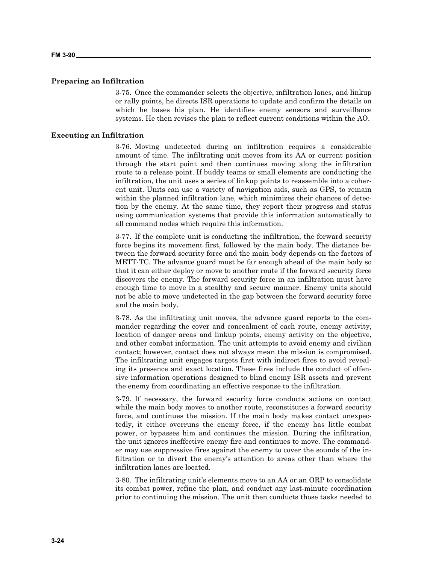## **Preparing an Infiltration**

3-75. Once the commander selects the objective, infiltration lanes, and linkup or rally points, he directs ISR operations to update and confirm the details on which he bases his plan. He identifies enemy sensors and surveillance systems. He then revises the plan to reflect current conditions within the AO.

#### **Executing an Infiltration**

3-76. Moving undetected during an infiltration requires a considerable amount of time. The infiltrating unit moves from its AA or current position through the start point and then continues moving along the infiltration route to a release point. If buddy teams or small elements are conducting the infiltration, the unit uses a series of linkup points to reassemble into a coherent unit. Units can use a variety of navigation aids, such as GPS, to remain within the planned infiltration lane, which minimizes their chances of detection by the enemy. At the same time, they report their progress and status using communication systems that provide this information automatically to all command nodes which require this information.

3-77. If the complete unit is conducting the infiltration, the forward security force begins its movement first, followed by the main body. The distance between the forward security force and the main body depends on the factors of METT-TC. The advance guard must be far enough ahead of the main body so that it can either deploy or move to another route if the forward security force discovers the enemy. The forward security force in an infiltration must have enough time to move in a stealthy and secure manner. Enemy units should not be able to move undetected in the gap between the forward security force and the main body.

3-78. As the infiltrating unit moves, the advance guard reports to the commander regarding the cover and concealment of each route, enemy activity, location of danger areas and linkup points, enemy activity on the objective, and other combat information. The unit attempts to avoid enemy and civilian contact; however, contact does not always mean the mission is compromised. The infiltrating unit engages targets first with indirect fires to avoid revealing its presence and exact location. These fires include the conduct of offensive information operations designed to blind enemy ISR assets and prevent the enemy from coordinating an effective response to the infiltration.

3-79. If necessary, the forward security force conducts actions on contact while the main body moves to another route, reconstitutes a forward security force, and continues the mission. If the main body makes contact unexpectedly, it either overruns the enemy force, if the enemy has little combat power, or bypasses him and continues the mission. During the infiltration, the unit ignores ineffective enemy fire and continues to move. The commander may use suppressive fires against the enemy to cover the sounds of the infiltration or to divert the enemy's attention to areas other than where the infiltration lanes are located.

3-80. The infiltrating unit's elements move to an AA or an ORP to consolidate its combat power, refine the plan, and conduct any last-minute coordination prior to continuing the mission. The unit then conducts those tasks needed to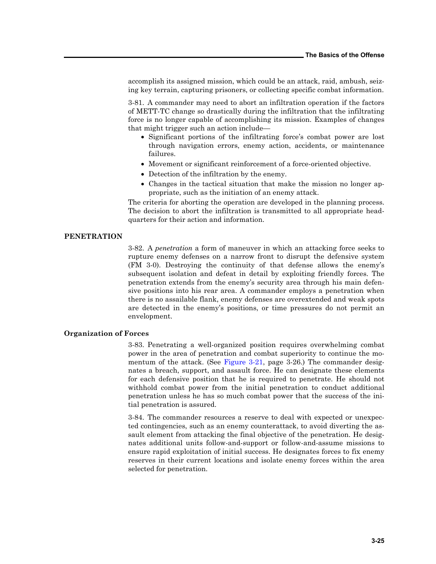accomplish its assigned mission, which could be an attack, raid, ambush, seizing key terrain, capturing prisoners, or collecting specific combat information.

3-81. A commander may need to abort an infiltration operation if the factors of METT-TC change so drastically during the infiltration that the infiltrating force is no longer capable of accomplishing its mission. Examples of changes that might trigger such an action include—

- Significant portions of the infiltrating force's combat power are lost through navigation errors, enemy action, accidents, or maintenance failures.
- Movement or significant reinforcement of a force-oriented objective.
- Detection of the infiltration by the enemy.
- Changes in the tactical situation that make the mission no longer appropriate, such as the initiation of an enemy attack.

The criteria for aborting the operation are developed in the planning process. The decision to abort the infiltration is transmitted to all appropriate headquarters for their action and information.

#### <span id="page-25-0"></span>**PENETRATION**

3-82. A *penetration* a form of maneuver in which an attacking force seeks to rupture enemy defenses on a narrow front to disrupt the defensive system (FM 3-0). Destroying the continuity of that defense allows the enemy's subsequent isolation and defeat in detail by exploiting friendly forces. The penetration extends from the enemy's security area through his main defensive positions into his rear area. A commander employs a penetration when there is no assailable flank, enemy defenses are overextended and weak spots are detected in the enemy's positions, or time pressures do not permit an envelopment.

#### **Organization of Forces**

3-83. Penetrating a well-organized position requires overwhelming combat power in the area of penetration and combat superiority to continue the momentum of the attack. (See [Figure](#page-26-0) 3-21, page 3-26.) The commander designates a breach, support, and assault force. He can designate these elements for each defensive position that he is required to penetrate. He should not withhold combat power from the initial penetration to conduct additional penetration unless he has so much combat power that the success of the initial penetration is assured.

3-84. The commander resources a reserve to deal with expected or unexpected contingencies, such as an enemy counterattack, to avoid diverting the assault element from attacking the final objective of the penetration. He designates additional units follow-and-support or follow-and-assume missions to ensure rapid exploitation of initial success. He designates forces to fix enemy reserves in their current locations and isolate enemy forces within the area selected for penetration.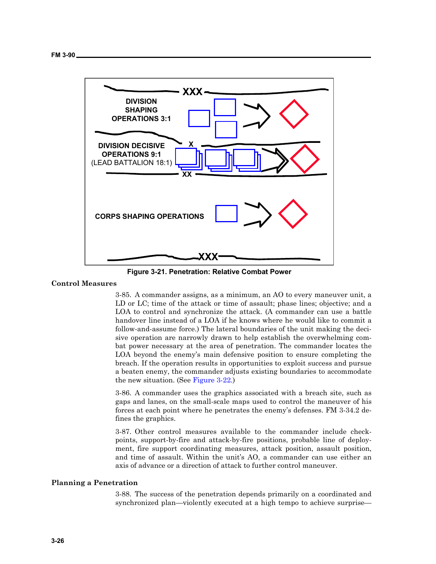<span id="page-26-0"></span>

**Figure 3-21. Penetration: Relative Combat Power**

#### **Control Measures**

3-85. A commander assigns, as a minimum, an AO to every maneuver unit, a LD or LC; time of the attack or time of assault; phase lines; objective; and a LOA to control and synchronize the attack. (A commander can use a battle handover line instead of a LOA if he knows where he would like to commit a follow-and-assume force.) The lateral boundaries of the unit making the decisive operation are narrowly drawn to help establish the overwhelming combat power necessary at the area of penetration. The commander locates the LOA beyond the enemy's main defensive position to ensure completing the breach. If the operation results in opportunities to exploit success and pursue a beaten enemy, the commander adjusts existing boundaries to accommodate the new situation. (See [Figure](#page-27-0) 3-22.)

3-86. A commander uses the graphics associated with a breach site, such as gaps and lanes, on the small-scale maps used to control the maneuver of his forces at each point where he penetrates the enemy's defenses. FM 3-34.2 defines the graphics.

3-87. Other control measures available to the commander include checkpoints, support-by-fire and attack-by-fire positions, probable line of deployment, fire support coordinating measures, attack position, assault position, and time of assault. Within the unit's AO, a commander can use either an axis of advance or a direction of attack to further control maneuver.

#### **Planning a Penetration**

3-88. The success of the penetration depends primarily on a coordinated and synchronized plan—violently executed at a high tempo to achieve surprise—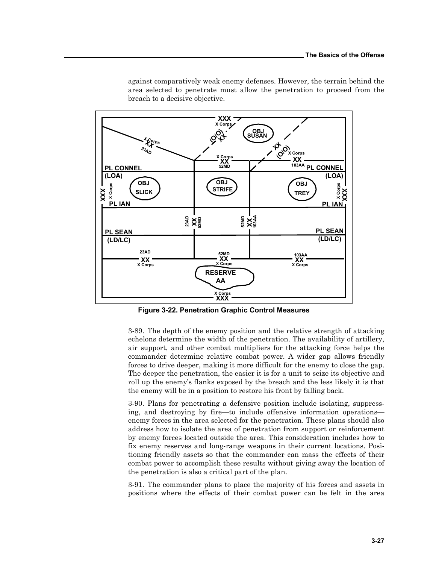<span id="page-27-0"></span>

against comparatively weak enemy defenses. However, the terrain behind the area selected to penetrate must allow the penetration to proceed from the breach to a decisive objective.

**Figure 3-22. Penetration Graphic Control Measures**

3-89. The depth of the enemy position and the relative strength of attacking echelons determine the width of the penetration. The availability of artillery, air support, and other combat multipliers for the attacking force helps the commander determine relative combat power. A wider gap allows friendly forces to drive deeper, making it more difficult for the enemy to close the gap. The deeper the penetration, the easier it is for a unit to seize its objective and roll up the enemy's flanks exposed by the breach and the less likely it is that the enemy will be in a position to restore his front by falling back.

3-90. Plans for penetrating a defensive position include isolating, suppressing, and destroying by fire—to include offensive information operations enemy forces in the area selected for the penetration. These plans should also address how to isolate the area of penetration from support or reinforcement by enemy forces located outside the area. This consideration includes how to fix enemy reserves and long-range weapons in their current locations. Positioning friendly assets so that the commander can mass the effects of their combat power to accomplish these results without giving away the location of the penetration is also a critical part of the plan.

3-91. The commander plans to place the majority of his forces and assets in positions where the effects of their combat power can be felt in the area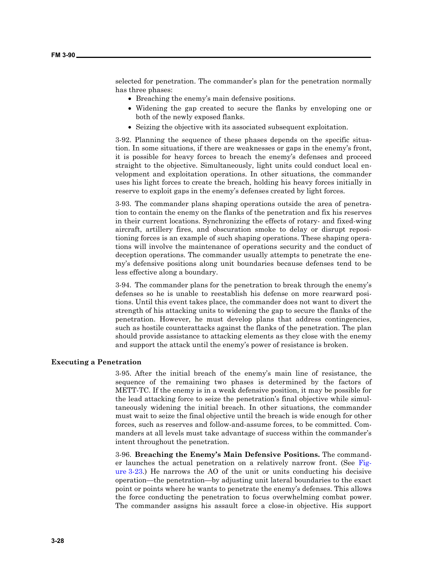selected for penetration. The commander's plan for the penetration normally has three phases:

- Breaching the enemy's main defensive positions.
- Widening the gap created to secure the flanks by enveloping one or both of the newly exposed flanks.
- Seizing the objective with its associated subsequent exploitation.

3-92. Planning the sequence of these phases depends on the specific situation. In some situations, if there are weaknesses or gaps in the enemy's front, it is possible for heavy forces to breach the enemy's defenses and proceed straight to the objective. Simultaneously, light units could conduct local envelopment and exploitation operations. In other situations, the commander uses his light forces to create the breach, holding his heavy forces initially in reserve to exploit gaps in the enemy's defenses created by light forces.

3-93. The commander plans shaping operations outside the area of penetration to contain the enemy on the flanks of the penetration and fix his reserves in their current locations. Synchronizing the effects of rotary- and fixed-wing aircraft, artillery fires, and obscuration smoke to delay or disrupt repositioning forces is an example of such shaping operations. These shaping operations will involve the maintenance of operations security and the conduct of deception operations. The commander usually attempts to penetrate the enemy's defensive positions along unit boundaries because defenses tend to be less effective along a boundary.

3-94. The commander plans for the penetration to break through the enemy's defenses so he is unable to reestablish his defense on more rearward positions. Until this event takes place, the commander does not want to divert the strength of his attacking units to widening the gap to secure the flanks of the penetration. However, he must develop plans that address contingencies, such as hostile counterattacks against the flanks of the penetration. The plan should provide assistance to attacking elements as they close with the enemy and support the attack until the enemy's power of resistance is broken.

#### **Executing a Penetration**

3-95. After the initial breach of the enemy's main line of resistance, the sequence of the remaining two phases is determined by the factors of METT-TC. If the enemy is in a weak defensive position, it may be possible for the lead attacking force to seize the penetration's final objective while simultaneously widening the initial breach. In other situations, the commander must wait to seize the final objective until the breach is wide enough for other forces, such as reserves and follow-and-assume forces, to be committed. Commanders at all levels must take advantage of success within the commander's intent throughout the penetration.

3-96. **Breaching the Enemy's Main Defensive Positions.** The commander launches the actual penetration on a relatively narrow front. (See [Fig](#page-29-0)[ure 3-23.\)](#page-29-0) He narrows the AO of the unit or units conducting his decisive operation—the penetration—by adjusting unit lateral boundaries to the exact point or points where he wants to penetrate the enemy's defenses. This allows the force conducting the penetration to focus overwhelming combat power. The commander assigns his assault force a close-in objective. His support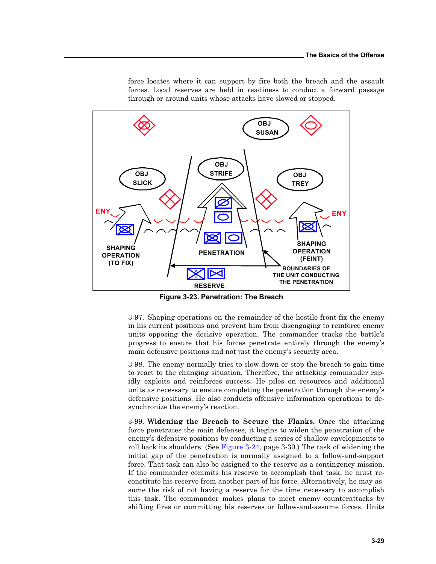<span id="page-29-0"></span>

force locates where it can support by fire both the breach and the assault forces. Local reserves are held in readiness to conduct a forward passage through or around units whose attacks have slowed or stopped.

**Figure 3-23. Penetration: The Breach**

3-97. Shaping operations on the remainder of the hostile front fix the enemy in his current positions and prevent him from disengaging to reinforce enemy units opposing the decisive operation. The commander tracks the battle's progress to ensure that his forces penetrate entirely through the enemy's main defensive positions and not just the enemy's security area.

3-98. The enemy normally tries to slow down or stop the breach to gain time to react to the changing situation. Therefore, the attacking commander rapidly exploits and reinforces success. He piles on resources and additional units as necessary to ensure completing the penetration through the enemy's defensive positions. He also conducts offensive information operations to desynchronize the enemy's reaction.

3-99. **Widening the Breach to Secure the Flanks.** Once the attacking force penetrates the main defenses, it begins to widen the penetration of the enemy's defensive positions by conducting a series of shallow envelopments to roll back its shoulders. (See [Figure](#page-30-1) 3-24, page 3-30.) The task of widening the initial gap of the penetration is normally assigned to a follow-and-support force. That task can also be assigned to the reserve as a contingency mission. If the commander commits his reserve to accomplish that task, he must reconstitute his reserve from another part of his force. Alternatively, he may assume the risk of not having a reserve for the time necessary to accomplish this task. The commander makes plans to meet enemy counterattacks by shifting fires or committing his reserves or follow-and-assume forces. Units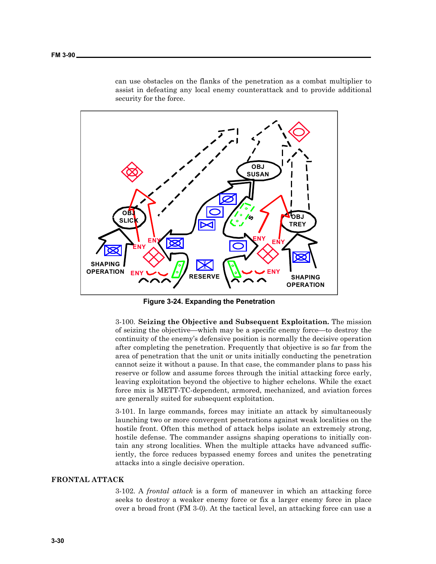can use obstacles on the flanks of the penetration as a combat multiplier to assist in defeating any local enemy counterattack and to provide additional security for the force.

<span id="page-30-1"></span>

**Figure 3-24. Expanding the Penetration**

3-100. **Seizing the Objective and Subsequent Exploitation.** The mission of seizing the objective—which may be a specific enemy force—to destroy the continuity of the enemy's defensive position is normally the decisive operation after completing the penetration. Frequently that objective is so far from the area of penetration that the unit or units initially conducting the penetration cannot seize it without a pause. In that case, the commander plans to pass his reserve or follow and assume forces through the initial attacking force early, leaving exploitation beyond the objective to higher echelons. While the exact force mix is METT-TC-dependent, armored, mechanized, and aviation forces are generally suited for subsequent exploitation.

3-101. In large commands, forces may initiate an attack by simultaneously launching two or more convergent penetrations against weak localities on the hostile front. Often this method of attack helps isolate an extremely strong, hostile defense. The commander assigns shaping operations to initially contain any strong localities. When the multiple attacks have advanced sufficiently, the force reduces bypassed enemy forces and unites the penetrating attacks into a single decisive operation.

## <span id="page-30-0"></span>**FRONTAL ATTACK**

3-102. A *frontal attack* is a form of maneuver in which an attacking force seeks to destroy a weaker enemy force or fix a larger enemy force in place over a broad front (FM 3-0). At the tactical level, an attacking force can use a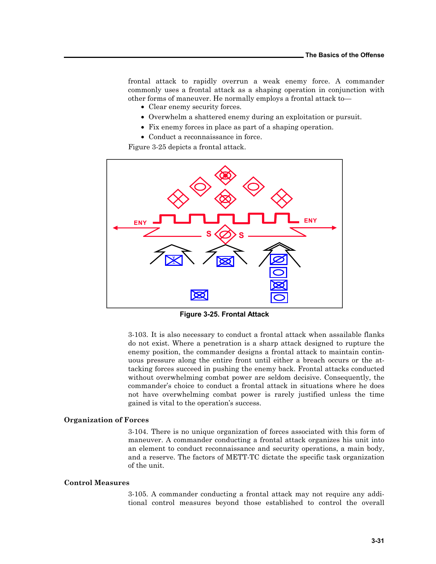frontal attack to rapidly overrun a weak enemy force. A commander commonly uses a frontal attack as a shaping operation in conjunction with other forms of maneuver. He normally employs a frontal attack to—

- Clear enemy security forces.
- Overwhelm a shattered enemy during an exploitation or pursuit.
- Fix enemy forces in place as part of a shaping operation.
- Conduct a reconnaissance in force.

Figure 3-25 depicts a frontal attack.



**Figure 3-25. Frontal Attack**

3-103. It is also necessary to conduct a frontal attack when assailable flanks do not exist. Where a penetration is a sharp attack designed to rupture the enemy position, the commander designs a frontal attack to maintain continuous pressure along the entire front until either a breach occurs or the attacking forces succeed in pushing the enemy back. Frontal attacks conducted without overwhelming combat power are seldom decisive. Consequently, the commander's choice to conduct a frontal attack in situations where he does not have overwhelming combat power is rarely justified unless the time gained is vital to the operation's success.

#### **Organization of Forces**

3-104. There is no unique organization of forces associated with this form of maneuver. A commander conducting a frontal attack organizes his unit into an element to conduct reconnaissance and security operations, a main body, and a reserve. The factors of METT-TC dictate the specific task organization of the unit.

#### **Control Measures**

3-105. A commander conducting a frontal attack may not require any additional control measures beyond those established to control the overall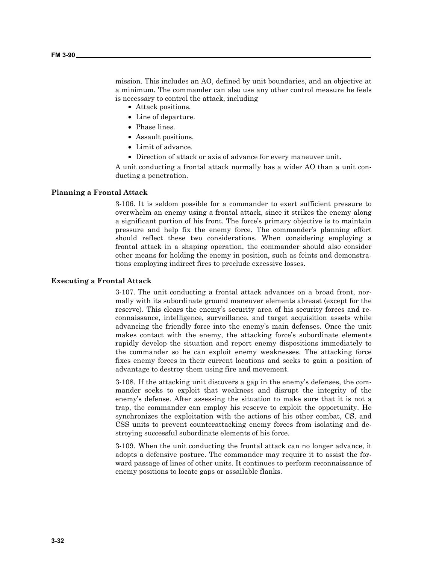mission. This includes an AO, defined by unit boundaries, and an objective at a minimum. The commander can also use any other control measure he feels is necessary to control the attack, including—

- Attack positions.
- Line of departure.
- Phase lines.
- Assault positions.
- Limit of advance.
- Direction of attack or axis of advance for every maneuver unit.

A unit conducting a frontal attack normally has a wider AO than a unit conducting a penetration.

#### **Planning a Frontal Attack**

3-106. It is seldom possible for a commander to exert sufficient pressure to overwhelm an enemy using a frontal attack, since it strikes the enemy along a significant portion of his front. The force's primary objective is to maintain pressure and help fix the enemy force. The commander's planning effort should reflect these two considerations. When considering employing a frontal attack in a shaping operation, the commander should also consider other means for holding the enemy in position, such as feints and demonstrations employing indirect fires to preclude excessive losses.

#### **Executing a Frontal Attack**

3-107. The unit conducting a frontal attack advances on a broad front, normally with its subordinate ground maneuver elements abreast (except for the reserve). This clears the enemy's security area of his security forces and reconnaissance, intelligence, surveillance, and target acquisition assets while advancing the friendly force into the enemy's main defenses. Once the unit makes contact with the enemy, the attacking force's subordinate elements rapidly develop the situation and report enemy dispositions immediately to the commander so he can exploit enemy weaknesses. The attacking force fixes enemy forces in their current locations and seeks to gain a position of advantage to destroy them using fire and movement.

3-108. If the attacking unit discovers a gap in the enemy's defenses, the commander seeks to exploit that weakness and disrupt the integrity of the enemy's defense. After assessing the situation to make sure that it is not a trap, the commander can employ his reserve to exploit the opportunity. He synchronizes the exploitation with the actions of his other combat, CS, and CSS units to prevent counterattacking enemy forces from isolating and destroying successful subordinate elements of his force.

3-109. When the unit conducting the frontal attack can no longer advance, it adopts a defensive posture. The commander may require it to assist the forward passage of lines of other units. It continues to perform reconnaissance of enemy positions to locate gaps or assailable flanks.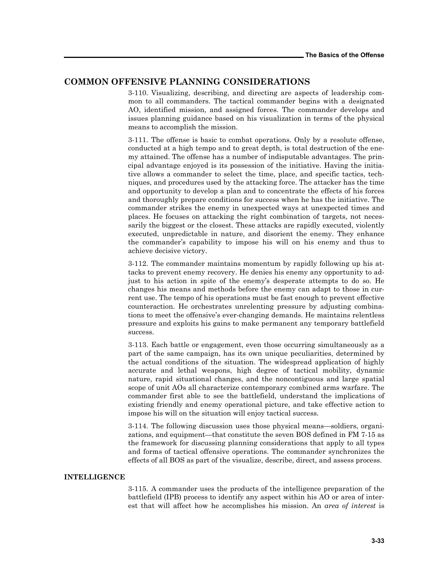# <span id="page-33-0"></span>**COMMON OFFENSIVE PLANNING CONSIDERATIONS**

<span id="page-33-2"></span>3-110. Visualizing, describing, and directing are aspects of leadership common to all commanders. The tactical commander begins with a designated AO, identified mission, and assigned forces. The commander develops and issues planning guidance based on his visualization in terms of the physical means to accomplish the mission.

3-111. The offense is basic to combat operations. Only by a resolute offense, conducted at a high tempo and to great depth, is total destruction of the enemy attained. The offense has a number of indisputable advantages. The principal advantage enjoyed is its possession of the initiative. Having the initiative allows a commander to select the time, place, and specific tactics, techniques, and procedures used by the attacking force. The attacker has the time and opportunity to develop a plan and to concentrate the effects of his forces and thoroughly prepare conditions for success when he has the initiative. The commander strikes the enemy in unexpected ways at unexpected times and places. He focuses on attacking the right combination of targets, not necessarily the biggest or the closest. These attacks are rapidly executed, violently executed, unpredictable in nature, and disorient the enemy. They enhance the commander's capability to impose his will on his enemy and thus to achieve decisive victory.

3-112. The commander maintains momentum by rapidly following up his attacks to prevent enemy recovery. He denies his enemy any opportunity to adjust to his action in spite of the enemy's desperate attempts to do so. He changes his means and methods before the enemy can adapt to those in current use. The tempo of his operations must be fast enough to prevent effective counteraction. He orchestrates unrelenting pressure by adjusting combinations to meet the offensive's ever-changing demands. He maintains relentless pressure and exploits his gains to make permanent any temporary battlefield success.

3-113. Each battle or engagement, even those occurring simultaneously as a part of the same campaign, has its own unique peculiarities, determined by the actual conditions of the situation. The widespread application of highly accurate and lethal weapons, high degree of tactical mobility, dynamic nature, rapid situational changes, and the noncontiguous and large spatial scope of unit AOs all characterize contemporary combined arms warfare. The commander first able to see the battlefield, understand the implications of existing friendly and enemy operational picture, and take effective action to impose his will on the situation will enjoy tactical success.

3-114. The following discussion uses those physical means—soldiers, organizations, and equipment—that constitute the seven BOS defined in FM 7-15 as the framework for discussing planning considerations that apply to all types and forms of tactical offensive operations. The commander synchronizes the effects of all BOS as part of the visualize, describe, direct, and assess process.

## <span id="page-33-1"></span>**INTELLIGENCE**

3-115. A commander uses the products of the intelligence preparation of the battlefield (IPB) process to identify any aspect within his AO or area of interest that will affect how he accomplishes his mission. An *area of interest* is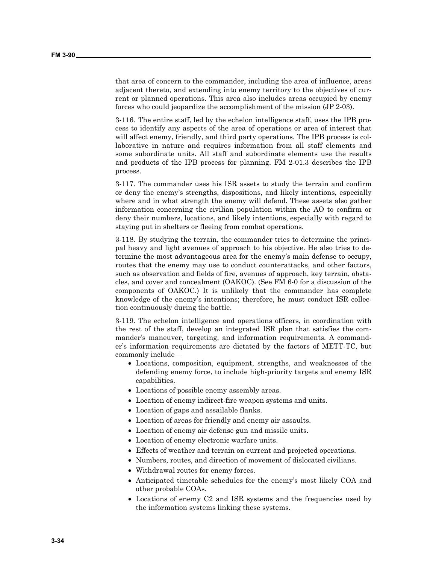that area of concern to the commander, including the area of influence, areas adjacent thereto, and extending into enemy territory to the objectives of current or planned operations. This area also includes areas occupied by enemy forces who could jeopardize the accomplishment of the mission (JP 2-03).

3-116. The entire staff, led by the echelon intelligence staff, uses the IPB process to identify any aspects of the area of operations or area of interest that will affect enemy, friendly, and third party operations. The IPB process is collaborative in nature and requires information from all staff elements and some subordinate units. All staff and subordinate elements use the results and products of the IPB process for planning. FM 2-01.3 describes the IPB process.

3-117. The commander uses his ISR assets to study the terrain and confirm or deny the enemy's strengths, dispositions, and likely intentions, especially where and in what strength the enemy will defend. These assets also gather information concerning the civilian population within the AO to confirm or deny their numbers, locations, and likely intentions, especially with regard to staying put in shelters or fleeing from combat operations.

3-118. By studying the terrain, the commander tries to determine the principal heavy and light avenues of approach to his objective. He also tries to determine the most advantageous area for the enemy's main defense to occupy, routes that the enemy may use to conduct counterattacks, and other factors, such as observation and fields of fire, avenues of approach, key terrain, obstacles, and cover and concealment (OAKOC). (See FM 6-0 for a discussion of the components of OAKOC.) It is unlikely that the commander has complete knowledge of the enemy's intentions; therefore, he must conduct ISR collection continuously during the battle.

3-119. The echelon intelligence and operations officers, in coordination with the rest of the staff, develop an integrated ISR plan that satisfies the commander's maneuver, targeting, and information requirements. A commander's information requirements are dictated by the factors of METT-TC, but commonly include—

- Locations, composition, equipment, strengths, and weaknesses of the defending enemy force, to include high-priority targets and enemy ISR capabilities.
- Locations of possible enemy assembly areas.
- Location of enemy indirect-fire weapon systems and units.
- Location of gaps and assailable flanks.
- Location of areas for friendly and enemy air assaults.
- Location of enemy air defense gun and missile units.
- Location of enemy electronic warfare units.
- Effects of weather and terrain on current and projected operations.
- Numbers, routes, and direction of movement of dislocated civilians.
- Withdrawal routes for enemy forces.
- Anticipated timetable schedules for the enemy's most likely COA and other probable COAs.
- Locations of enemy C2 and ISR systems and the frequencies used by the information systems linking these systems.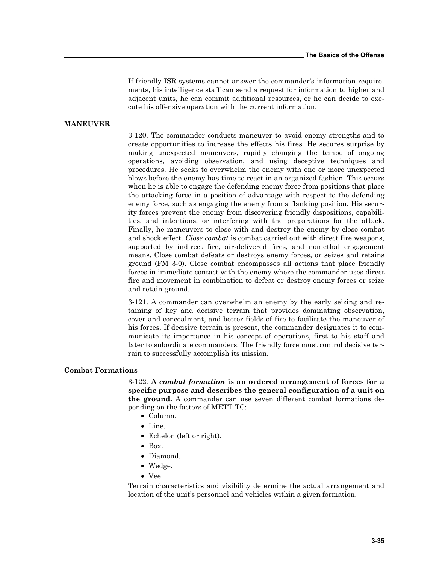If friendly ISR systems cannot answer the commander's information requirements, his intelligence staff can send a request for information to higher and adjacent units, he can commit additional resources, or he can decide to execute his offensive operation with the current information.

#### <span id="page-35-0"></span>**MANEUVER**

3-120. The commander conducts maneuver to avoid enemy strengths and to create opportunities to increase the effects his fires. He secures surprise by making unexpected maneuvers, rapidly changing the tempo of ongoing operations, avoiding observation, and using deceptive techniques and procedures. He seeks to overwhelm the enemy with one or more unexpected blows before the enemy has time to react in an organized fashion. This occurs when he is able to engage the defending enemy force from positions that place the attacking force in a position of advantage with respect to the defending enemy force, such as engaging the enemy from a flanking position. His security forces prevent the enemy from discovering friendly dispositions, capabilities, and intentions, or interfering with the preparations for the attack. Finally, he maneuvers to close with and destroy the enemy by close combat and shock effect. *Close combat* is combat carried out with direct fire weapons, supported by indirect fire, air-delivered fires, and nonlethal engagement means. Close combat defeats or destroys enemy forces, or seizes and retains ground (FM 3-0). Close combat encompasses all actions that place friendly forces in immediate contact with the enemy where the commander uses direct fire and movement in combination to defeat or destroy enemy forces or seize and retain ground.

3-121. A commander can overwhelm an enemy by the early seizing and retaining of key and decisive terrain that provides dominating observation, cover and concealment, and better fields of fire to facilitate the maneuver of his forces. If decisive terrain is present, the commander designates it to communicate its importance in his concept of operations, first to his staff and later to subordinate commanders. The friendly force must control decisive terrain to successfully accomplish its mission.

#### **Combat Formations**

3-122. **A** *combat formation* **is an ordered arrangement of forces for a specific purpose and describes the general configuration of a unit on the ground.** A commander can use seven different combat formations depending on the factors of METT-TC:

- Column.
- Line.
- Echelon (left or right).
- $\bullet$  Box.
- Diamond.
- Wedge.
- Vee.

Terrain characteristics and visibility determine the actual arrangement and location of the unit's personnel and vehicles within a given formation.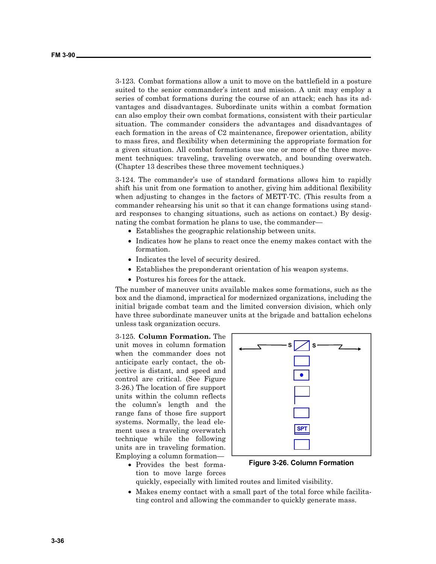3-123. Combat formations allow a unit to move on the battlefield in a posture suited to the senior commander's intent and mission. A unit may employ a series of combat formations during the course of an attack; each has its advantages and disadvantages. Subordinate units within a combat formation can also employ their own combat formations, consistent with their particular situation. The commander considers the advantages and disadvantages of each formation in the areas of C2 maintenance, firepower orientation, ability to mass fires, and flexibility when determining the appropriate formation for a given situation. All combat formations use one or more of the three movement techniques: traveling, traveling overwatch, and bounding overwatch. (Chapter 13 describes these three movement techniques.)

3-124. The commander's use of standard formations allows him to rapidly shift his unit from one formation to another, giving him additional flexibility when adjusting to changes in the factors of METT-TC. (This results from a commander rehearsing his unit so that it can change formations using standard responses to changing situations, such as actions on contact.) By designating the combat formation he plans to use, the commander—

- Establishes the geographic relationship between units.
- Indicates how he plans to react once the enemy makes contact with the formation.
- Indicates the level of security desired.
- Establishes the preponderant orientation of his weapon systems.
- Postures his forces for the attack.

The number of maneuver units available makes some formations, such as the box and the diamond, impractical for modernized organizations, including the initial brigade combat team and the limited conversion division, which only have three subordinate maneuver units at the brigade and battalion echelons unless task organization occurs.

3-125. **Column Formation.** The unit moves in column formation when the commander does not anticipate early contact, the objective is distant, and speed and control are critical. (See Figure 3-26.) The location of fire support units within the column reflects the column's length and the range fans of those fire support systems. Normally, the lead element uses a traveling overwatch technique while the following units are in traveling formation. Employing a column formation—



 Provides the best formation to move large forces

quickly, especially with limited routes and limited visibility.

 Makes enemy contact with a small part of the total force while facilitating control and allowing the commander to quickly generate mass.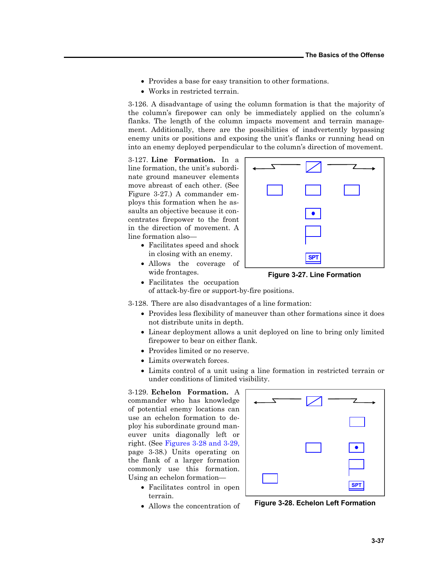- Provides a base for easy transition to other formations.
- Works in restricted terrain.

3-126. A disadvantage of using the column formation is that the majority of the column's firepower can only be immediately applied on the column's flanks. The length of the column impacts movement and terrain management. Additionally, there are the possibilities of inadvertently bypassing enemy units or positions and exposing the unit's flanks or running head on into an enemy deployed perpendicular to the column's direction of movement.

3-127. **Line Formation.** In a line formation, the unit's subordinate ground maneuver elements move abreast of each other. (See Figure 3-27.) A commander employs this formation when he assaults an objective because it concentrates firepower to the front in the direction of movement. A line formation also—

- Facilitates speed and shock in closing with an enemy.
- Allows the coverage of wide frontages.





 Facilitates the occupation of attack-by-fire or support-by-fire positions.

3-128. There are also disadvantages of a line formation:

- Provides less flexibility of maneuver than other formations since it does not distribute units in depth.
- Linear deployment allows a unit deployed on line to bring only limited firepower to bear on either flank.
- Provides limited or no reserve.
- Limits overwatch forces.
- Limits control of a unit using a line formation in restricted terrain or under conditions of limited visibility.

3-129. **Echelon Formation.** A commander who has knowledge of potential enemy locations can use an echelon formation to deploy his subordinate ground maneuver units diagonally left or right. (See Figures 3-28 and [3-29,](#page-38-0) page 3-38.) Units operating on the flank of a larger formation commonly use this formation. Using an echelon formation—

- Facilitates control in open terrain.
- Allows the concentration of



**Figure 3-28. Echelon Left Formation**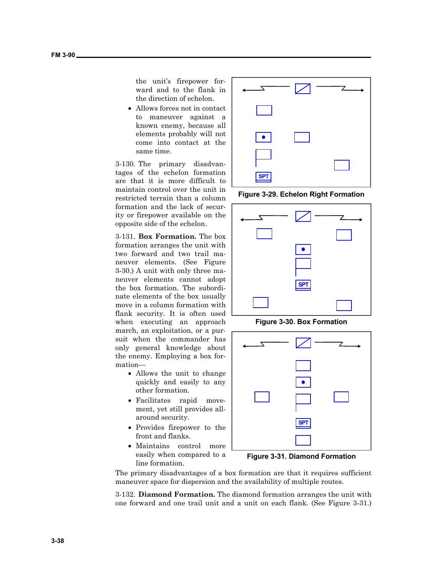<span id="page-38-0"></span>the unit's firepower forward and to the flank in the direction of echelon.

 Allows forces not in contact to maneuver against a known enemy, because all elements probably will not come into contact at the same time.

3-130. The primary disadvantages of the echelon formation are that it is more difficult to maintain control over the unit in restricted terrain than a column formation and the lack of security or firepower available on the opposite side of the echelon.

3-131. **Box Formation.** The box formation arranges the unit with two forward and two trail maneuver elements. (See Figure 3-30.) A unit with only three maneuver elements cannot adopt the box formation. The subordinate elements of the box usually move in a column formation with flank security. It is often used when executing an approach march, an exploitation, or a pursuit when the commander has only general knowledge about the enemy. Employing a box formation—

- Allows the unit to change quickly and easily to any other formation.
- Facilitates rapid movement, yet still provides allaround security.
- Provides firepower to the front and flanks.



**Figure 3-29. Echelon Right Formation**



**Figure 3-30. Box Formation**



 Maintains control more easily when compared to a line formation.

**Figure 3-31. Diamond Formation**

The primary disadvantages of a box formation are that it requires sufficient maneuver space for dispersion and the availability of multiple routes.

3-132. **Diamond Formation.** The diamond formation arranges the unit with one forward and one trail unit and a unit on each flank. (See Figure 3-31.)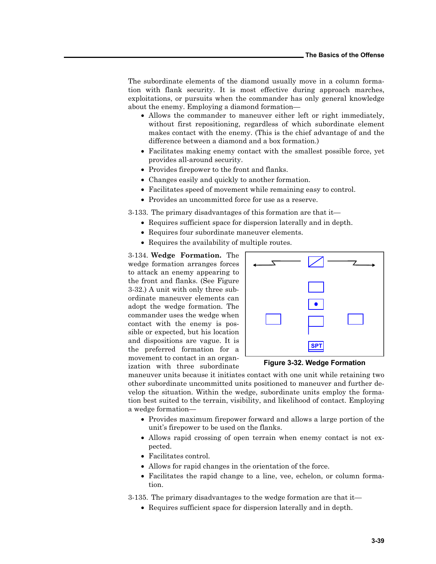The subordinate elements of the diamond usually move in a column formation with flank security. It is most effective during approach marches, exploitations, or pursuits when the commander has only general knowledge about the enemy. Employing a diamond formation—

- Allows the commander to maneuver either left or right immediately, without first repositioning, regardless of which subordinate element makes contact with the enemy. (This is the chief advantage of and the difference between a diamond and a box formation.)
- Facilitates making enemy contact with the smallest possible force, yet provides all-around security.
- Provides firepower to the front and flanks.
- Changes easily and quickly to another formation.
- Facilitates speed of movement while remaining easy to control.
- Provides an uncommitted force for use as a reserve.

3-133. The primary disadvantages of this formation are that it—

- Requires sufficient space for dispersion laterally and in depth.
- Requires four subordinate maneuver elements.
- Requires the availability of multiple routes.

3-134. **Wedge Formation.** The wedge formation arranges forces to attack an enemy appearing to the front and flanks. (See Figure 3-32.) A unit with only three subordinate maneuver elements can adopt the wedge formation. The commander uses the wedge when contact with the enemy is possible or expected, but his location and dispositions are vague. It is the preferred formation for a movement to contact in an organization with three subordinate



**Figure 3-32. Wedge Formation**

maneuver units because it initiates contact with one unit while retaining two other subordinate uncommitted units positioned to maneuver and further develop the situation. Within the wedge, subordinate units employ the formation best suited to the terrain, visibility, and likelihood of contact. Employing a wedge formation—

- Provides maximum firepower forward and allows a large portion of the unit's firepower to be used on the flanks.
- Allows rapid crossing of open terrain when enemy contact is not expected.
- Facilitates control.
- Allows for rapid changes in the orientation of the force.
- Facilitates the rapid change to a line, vee, echelon, or column formation.

3-135. The primary disadvantages to the wedge formation are that it—

• Requires sufficient space for dispersion laterally and in depth.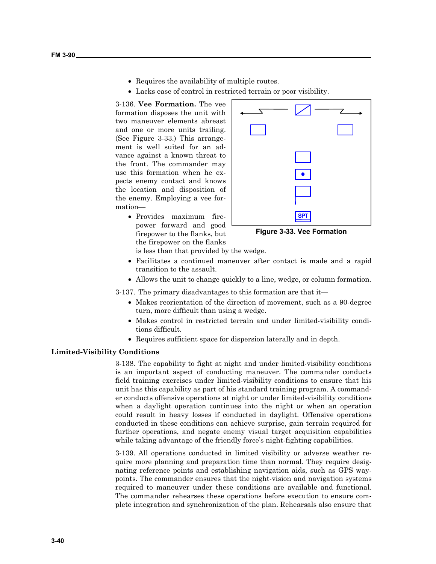- Requires the availability of multiple routes.
- Lacks ease of control in restricted terrain or poor visibility.

3-136. **Vee Formation.** The vee formation disposes the unit with two maneuver elements abreast and one or more units trailing. (See Figure 3-33.) This arrangement is well suited for an advance against a known threat to the front. The commander may use this formation when he expects enemy contact and knows the location and disposition of the enemy. Employing a vee formation—

> Provides maximum firepower forward and good firepower to the flanks, but the firepower on the flanks

| $\overline{\phantom{a}}$     |  |
|------------------------------|--|
|                              |  |
| $\vert \hspace{.06cm} \vert$ |  |
| $\boxed{\bullet}$            |  |
|                              |  |
| <b>SPT</b>                   |  |

**Figure 3-33. Vee Formation**

is less than that provided by the wedge.

- Facilitates a continued maneuver after contact is made and a rapid transition to the assault.
- Allows the unit to change quickly to a line, wedge, or column formation.

3-137. The primary disadvantages to this formation are that it—

- Makes reorientation of the direction of movement, such as a 90-degree turn, more difficult than using a wedge.
- Makes control in restricted terrain and under limited-visibility conditions difficult.
- Requires sufficient space for dispersion laterally and in depth.

## **Limited-Visibility Conditions**

3-138. The capability to fight at night and under limited-visibility conditions is an important aspect of conducting maneuver. The commander conducts field training exercises under limited-visibility conditions to ensure that his unit has this capability as part of his standard training program. A commander conducts offensive operations at night or under limited-visibility conditions when a daylight operation continues into the night or when an operation could result in heavy losses if conducted in daylight. Offensive operations conducted in these conditions can achieve surprise, gain terrain required for further operations, and negate enemy visual target acquisition capabilities while taking advantage of the friendly force's night-fighting capabilities.

3-139. All operations conducted in limited visibility or adverse weather require more planning and preparation time than normal. They require designating reference points and establishing navigation aids, such as GPS waypoints. The commander ensures that the night-vision and navigation systems required to maneuver under these conditions are available and functional. The commander rehearses these operations before execution to ensure complete integration and synchronization of the plan. Rehearsals also ensure that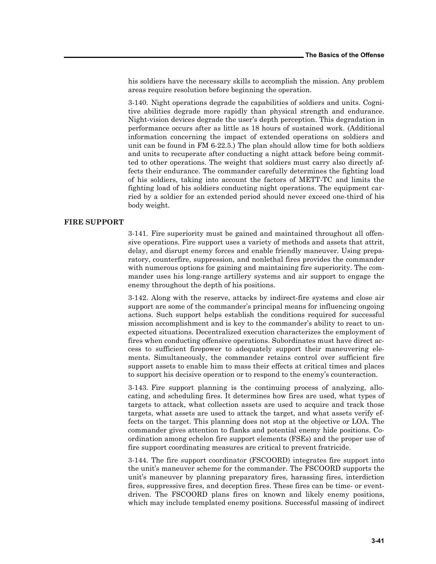his soldiers have the necessary skills to accomplish the mission. Any problem areas require resolution before beginning the operation.

3-140. Night operations degrade the capabilities of soldiers and units. Cognitive abilities degrade more rapidly than physical strength and endurance. Night-vision devices degrade the user's depth perception. This degradation in performance occurs after as little as 18 hours of sustained work. (Additional information concerning the impact of extended operations on soldiers and unit can be found in FM 6-22.5.) The plan should allow time for both soldiers and units to recuperate after conducting a night attack before being committed to other operations. The weight that soldiers must carry also directly affects their endurance. The commander carefully determines the fighting load of his soldiers, taking into account the factors of METT-TC and limits the fighting load of his soldiers conducting night operations. The equipment carried by a soldier for an extended period should never exceed one-third of his body weight.

#### <span id="page-41-0"></span>**FIRE SUPPORT**

3-141. Fire superiority must be gained and maintained throughout all offensive operations. Fire support uses a variety of methods and assets that attrit, delay, and disrupt enemy forces and enable friendly maneuver. Using preparatory, counterfire, suppression, and nonlethal fires provides the commander with numerous options for gaining and maintaining fire superiority. The commander uses his long-range artillery systems and air support to engage the enemy throughout the depth of his positions.

3-142. Along with the reserve, attacks by indirect-fire systems and close air support are some of the commander's principal means for influencing ongoing actions. Such support helps establish the conditions required for successful mission accomplishment and is key to the commander's ability to react to unexpected situations. Decentralized execution characterizes the employment of fires when conducting offensive operations. Subordinates must have direct access to sufficient firepower to adequately support their maneuvering elements. Simultaneously, the commander retains control over sufficient fire support assets to enable him to mass their effects at critical times and places to support his decisive operation or to respond to the enemy's counteraction.

3-143. Fire support planning is the continuing process of analyzing, allocating, and scheduling fires. It determines how fires are used, what types of targets to attack, what collection assets are used to acquire and track those targets, what assets are used to attack the target, and what assets verify effects on the target. This planning does not stop at the objective or LOA. The commander gives attention to flanks and potential enemy hide positions. Coordination among echelon fire support elements (FSEs) and the proper use of fire support coordinating measures are critical to prevent fratricide.

3-144. The fire support coordinator (FSCOORD) integrates fire support into the unit's maneuver scheme for the commander. The FSCOORD supports the unit's maneuver by planning preparatory fires, harassing fires, interdiction fires, suppressive fires, and deception fires. These fires can be time- or eventdriven. The FSCOORD plans fires on known and likely enemy positions, which may include templated enemy positions. Successful massing of indirect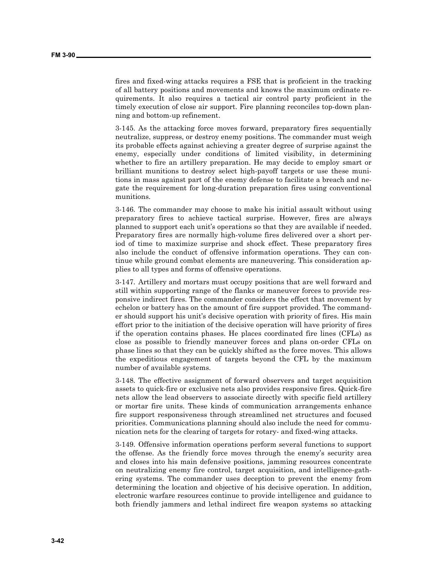fires and fixed-wing attacks requires a FSE that is proficient in the tracking of all battery positions and movements and knows the maximum ordinate requirements. It also requires a tactical air control party proficient in the timely execution of close air support. Fire planning reconciles top-down planning and bottom-up refinement.

3-145. As the attacking force moves forward, preparatory fires sequentially neutralize, suppress, or destroy enemy positions. The commander must weigh its probable effects against achieving a greater degree of surprise against the enemy, especially under conditions of limited visibility, in determining whether to fire an artillery preparation. He may decide to employ smart or brilliant munitions to destroy select high-payoff targets or use these munitions in mass against part of the enemy defense to facilitate a breach and negate the requirement for long-duration preparation fires using conventional munitions.

3-146. The commander may choose to make his initial assault without using preparatory fires to achieve tactical surprise. However, fires are always planned to support each unit's operations so that they are available if needed. Preparatory fires are normally high-volume fires delivered over a short period of time to maximize surprise and shock effect. These preparatory fires also include the conduct of offensive information operations. They can continue while ground combat elements are maneuvering. This consideration applies to all types and forms of offensive operations.

3-147. Artillery and mortars must occupy positions that are well forward and still within supporting range of the flanks or maneuver forces to provide responsive indirect fires. The commander considers the effect that movement by echelon or battery has on the amount of fire support provided. The commander should support his unit's decisive operation with priority of fires. His main effort prior to the initiation of the decisive operation will have priority of fires if the operation contains phases. He places coordinated fire lines (CFLs) as close as possible to friendly maneuver forces and plans on-order CFLs on phase lines so that they can be quickly shifted as the force moves. This allows the expeditious engagement of targets beyond the CFL by the maximum number of available systems.

3-148. The effective assignment of forward observers and target acquisition assets to quick-fire or exclusive nets also provides responsive fires. Quick-fire nets allow the lead observers to associate directly with specific field artillery or mortar fire units. These kinds of communication arrangements enhance fire support responsiveness through streamlined net structures and focused priorities. Communications planning should also include the need for communication nets for the clearing of targets for rotary- and fixed-wing attacks.

3-149. Offensive information operations perform several functions to support the offense. As the friendly force moves through the enemy's security area and closes into his main defensive positions, jamming resources concentrate on neutralizing enemy fire control, target acquisition, and intelligence-gathering systems. The commander uses deception to prevent the enemy from determining the location and objective of his decisive operation. In addition, electronic warfare resources continue to provide intelligence and guidance to both friendly jammers and lethal indirect fire weapon systems so attacking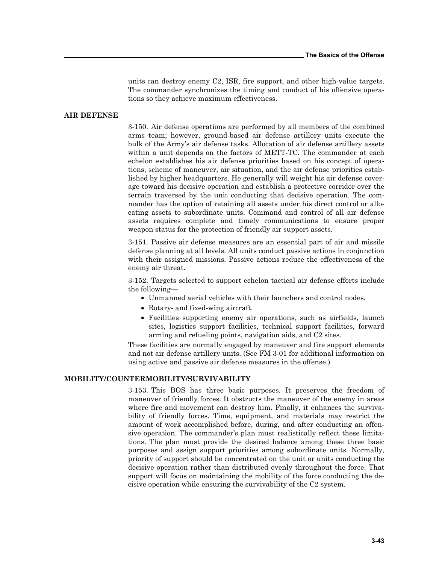units can destroy enemy C2, ISR, fire support, and other high-value targets. The commander synchronizes the timing and conduct of his offensive operations so they achieve maximum effectiveness.

#### <span id="page-43-0"></span>**AIR DEFENSE**

3-150. Air defense operations are performed by all members of the combined arms team; however, ground-based air defense artillery units execute the bulk of the Army's air defense tasks. Allocation of air defense artillery assets within a unit depends on the factors of METT-TC. The commander at each echelon establishes his air defense priorities based on his concept of operations, scheme of maneuver, air situation, and the air defense priorities established by higher headquarters. He generally will weight his air defense coverage toward his decisive operation and establish a protective corridor over the terrain traversed by the unit conducting that decisive operation. The commander has the option of retaining all assets under his direct control or allocating assets to subordinate units. Command and control of all air defense assets requires complete and timely communications to ensure proper weapon status for the protection of friendly air support assets.

3-151. Passive air defense measures are an essential part of air and missile defense planning at all levels. All units conduct passive actions in conjunction with their assigned missions. Passive actions reduce the effectiveness of the enemy air threat.

3-152. Targets selected to support echelon tactical air defense efforts include the following—

- Unmanned aerial vehicles with their launchers and control nodes.
- Rotary- and fixed-wing aircraft.
- Facilities supporting enemy air operations, such as airfields, launch sites, logistics support facilities, technical support facilities, forward arming and refueling points, navigation aids, and C2 sites.

These facilities are normally engaged by maneuver and fire support elements and not air defense artillery units. (See FM 3-01 for additional information on using active and passive air defense measures in the offense.)

## <span id="page-43-1"></span>**MOBILITY/COUNTERMOBILITY/SURVIVABILITY**

3-153. This BOS has three basic purposes. It preserves the freedom of maneuver of friendly forces. It obstructs the maneuver of the enemy in areas where fire and movement can destroy him. Finally, it enhances the survivability of friendly forces. Time, equipment, and materials may restrict the amount of work accomplished before, during, and after conducting an offensive operation. The commander's plan must realistically reflect these limitations. The plan must provide the desired balance among these three basic purposes and assign support priorities among subordinate units. Normally, priority of support should be concentrated on the unit or units conducting the decisive operation rather than distributed evenly throughout the force. That support will focus on maintaining the mobility of the force conducting the decisive operation while ensuring the survivability of the C2 system.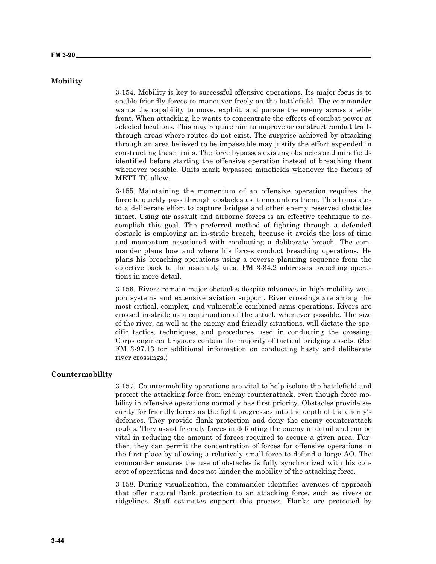#### **Mobility**

3-154. Mobility is key to successful offensive operations. Its major focus is to enable friendly forces to maneuver freely on the battlefield. The commander wants the capability to move, exploit, and pursue the enemy across a wide front. When attacking, he wants to concentrate the effects of combat power at selected locations. This may require him to improve or construct combat trails through areas where routes do not exist. The surprise achieved by attacking through an area believed to be impassable may justify the effort expended in constructing these trails. The force bypasses existing obstacles and minefields identified before starting the offensive operation instead of breaching them whenever possible. Units mark bypassed minefields whenever the factors of METT-TC allow.

3-155. Maintaining the momentum of an offensive operation requires the force to quickly pass through obstacles as it encounters them. This translates to a deliberate effort to capture bridges and other enemy reserved obstacles intact. Using air assault and airborne forces is an effective technique to accomplish this goal. The preferred method of fighting through a defended obstacle is employing an in-stride breach, because it avoids the loss of time and momentum associated with conducting a deliberate breach. The commander plans how and where his forces conduct breaching operations. He plans his breaching operations using a reverse planning sequence from the objective back to the assembly area. FM 3-34.2 addresses breaching operations in more detail.

3-156. Rivers remain major obstacles despite advances in high-mobility weapon systems and extensive aviation support. River crossings are among the most critical, complex, and vulnerable combined arms operations. Rivers are crossed in-stride as a continuation of the attack whenever possible. The size of the river, as well as the enemy and friendly situations, will dictate the specific tactics, techniques, and procedures used in conducting the crossing. Corps engineer brigades contain the majority of tactical bridging assets. (See FM 3-97.13 for additional information on conducting hasty and deliberate river crossings.)

#### **Countermobility**

3-157. Countermobility operations are vital to help isolate the battlefield and protect the attacking force from enemy counterattack, even though force mobility in offensive operations normally has first priority. Obstacles provide security for friendly forces as the fight progresses into the depth of the enemy's defenses. They provide flank protection and deny the enemy counterattack routes. They assist friendly forces in defeating the enemy in detail and can be vital in reducing the amount of forces required to secure a given area. Further, they can permit the concentration of forces for offensive operations in the first place by allowing a relatively small force to defend a large AO. The commander ensures the use of obstacles is fully synchronized with his concept of operations and does not hinder the mobility of the attacking force.

3-158. During visualization, the commander identifies avenues of approach that offer natural flank protection to an attacking force, such as rivers or ridgelines. Staff estimates support this process. Flanks are protected by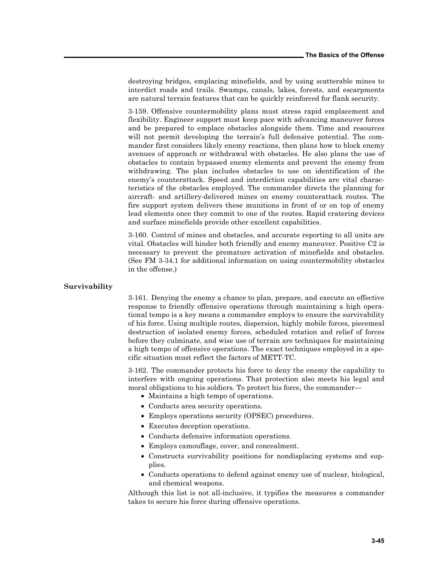destroying bridges, emplacing minefields, and by using scatterable mines to interdict roads and trails. Swamps, canals, lakes, forests, and escarpments are natural terrain features that can be quickly reinforced for flank security.

3-159. Offensive countermobility plans must stress rapid emplacement and flexibility. Engineer support must keep pace with advancing maneuver forces and be prepared to emplace obstacles alongside them. Time and resources will not permit developing the terrain's full defensive potential. The commander first considers likely enemy reactions, then plans how to block enemy avenues of approach or withdrawal with obstacles. He also plans the use of obstacles to contain bypassed enemy elements and prevent the enemy from withdrawing. The plan includes obstacles to use on identification of the enemy's counterattack. Speed and interdiction capabilities are vital characteristics of the obstacles employed. The commander directs the planning for aircraft- and artillery-delivered mines on enemy counterattack routes. The fire support system delivers these munitions in front of or on top of enemy lead elements once they commit to one of the routes. Rapid cratering devices and surface minefields provide other excellent capabilities.

3-160. Control of mines and obstacles, and accurate reporting to all units are vital. Obstacles will hinder both friendly and enemy maneuver. Positive C2 is necessary to prevent the premature activation of minefields and obstacles. (See FM 3-34.1 for additional information on using countermobility obstacles in the offense.)

#### **Survivability**

3-161. Denying the enemy a chance to plan, prepare, and execute an effective response to friendly offensive operations through maintaining a high operational tempo is a key means a commander employs to ensure the survivability of his force. Using multiple routes, dispersion, highly mobile forces, piecemeal destruction of isolated enemy forces, scheduled rotation and relief of forces before they culminate, and wise use of terrain are techniques for maintaining a high tempo of offensive operations. The exact techniques employed in a specific situation must reflect the factors of METT-TC.

3-162. The commander protects his force to deny the enemy the capability to interfere with ongoing operations. That protection also meets his legal and moral obligations to his soldiers. To protect his force, the commander—

- Maintains a high tempo of operations.
- Conducts area security operations.
- Employs operations security (OPSEC) procedures.
- Executes deception operations.
- Conducts defensive information operations.
- Employs camouflage, cover, and concealment.
- Constructs survivability positions for nondisplacing systems and supplies.
- Conducts operations to defend against enemy use of nuclear, biological, and chemical weapons.

Although this list is not all-inclusive, it typifies the measures a commander takes to secure his force during offensive operations.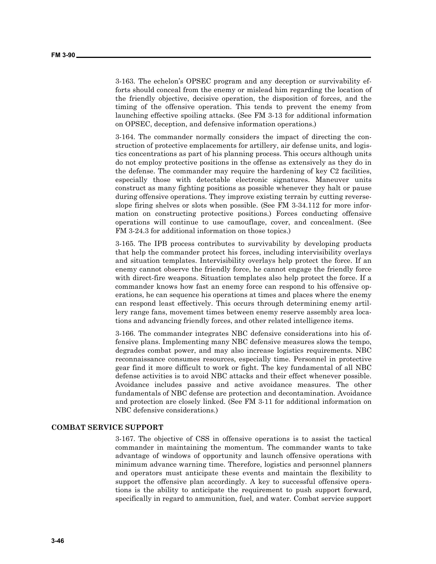3-163. The echelon's OPSEC program and any deception or survivability efforts should conceal from the enemy or mislead him regarding the location of the friendly objective, decisive operation, the disposition of forces, and the timing of the offensive operation. This tends to prevent the enemy from launching effective spoiling attacks. (See FM 3-13 for additional information on OPSEC, deception, and defensive information operations.)

3-164. The commander normally considers the impact of directing the construction of protective emplacements for artillery, air defense units, and logistics concentrations as part of his planning process. This occurs although units do not employ protective positions in the offense as extensively as they do in the defense. The commander may require the hardening of key C2 facilities, especially those with detectable electronic signatures. Maneuver units construct as many fighting positions as possible whenever they halt or pause during offensive operations. They improve existing terrain by cutting reverseslope firing shelves or slots when possible. (See FM 3-34.112 for more information on constructing protective positions.) Forces conducting offensive operations will continue to use camouflage, cover, and concealment. (See FM 3-24.3 for additional information on those topics.)

3-165. The IPB process contributes to survivability by developing products that help the commander protect his forces, including intervisibility overlays and situation templates. Intervisibility overlays help protect the force. If an enemy cannot observe the friendly force, he cannot engage the friendly force with direct-fire weapons. Situation templates also help protect the force. If a commander knows how fast an enemy force can respond to his offensive operations, he can sequence his operations at times and places where the enemy can respond least effectively. This occurs through determining enemy artillery range fans, movement times between enemy reserve assembly area locations and advancing friendly forces, and other related intelligence items.

3-166. The commander integrates NBC defensive considerations into his offensive plans. Implementing many NBC defensive measures slows the tempo, degrades combat power, and may also increase logistics requirements. NBC reconnaissance consumes resources, especially time. Personnel in protective gear find it more difficult to work or fight. The key fundamental of all NBC defense activities is to avoid NBC attacks and their effect whenever possible. Avoidance includes passive and active avoidance measures. The other fundamentals of NBC defense are protection and decontamination. Avoidance and protection are closely linked. (See FM 3-11 for additional information on NBC defensive considerations.)

#### <span id="page-46-0"></span>**COMBAT SERVICE SUPPORT**

3-167. The objective of CSS in offensive operations is to assist the tactical commander in maintaining the momentum. The commander wants to take advantage of windows of opportunity and launch offensive operations with minimum advance warning time. Therefore, logistics and personnel planners and operators must anticipate these events and maintain the flexibility to support the offensive plan accordingly. A key to successful offensive operations is the ability to anticipate the requirement to push support forward, specifically in regard to ammunition, fuel, and water. Combat service support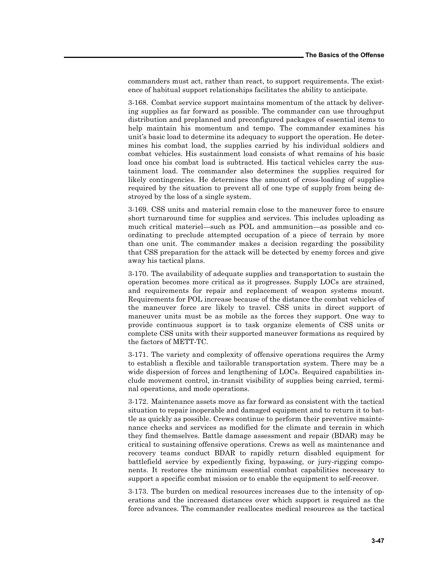commanders must act, rather than react, to support requirements. The existence of habitual support relationships facilitates the ability to anticipate.

3-168. Combat service support maintains momentum of the attack by delivering supplies as far forward as possible. The commander can use throughput distribution and preplanned and preconfigured packages of essential items to help maintain his momentum and tempo. The commander examines his unit's basic load to determine its adequacy to support the operation. He determines his combat load, the supplies carried by his individual soldiers and combat vehicles. His sustainment load consists of what remains of his basic load once his combat load is subtracted. His tactical vehicles carry the sustainment load. The commander also determines the supplies required for likely contingencies. He determines the amount of cross-loading of supplies required by the situation to prevent all of one type of supply from being destroyed by the loss of a single system.

3-169. CSS units and material remain close to the maneuver force to ensure short turnaround time for supplies and services. This includes uploading as much critical materiel—such as POL and ammunition—as possible and coordinating to preclude attempted occupation of a piece of terrain by more than one unit. The commander makes a decision regarding the possibility that CSS preparation for the attack will be detected by enemy forces and give away his tactical plans.

3-170. The availability of adequate supplies and transportation to sustain the operation becomes more critical as it progresses. Supply LOCs are strained, and requirements for repair and replacement of weapon systems mount. Requirements for POL increase because of the distance the combat vehicles of the maneuver force are likely to travel. CSS units in direct support of maneuver units must be as mobile as the forces they support. One way to provide continuous support is to task organize elements of CSS units or complete CSS units with their supported maneuver formations as required by the factors of METT-TC.

3-171. The variety and complexity of offensive operations requires the Army to establish a flexible and tailorable transportation system. There may be a wide dispersion of forces and lengthening of LOCs. Required capabilities include movement control, in-transit visibility of supplies being carried, terminal operations, and mode operations.

3-172. Maintenance assets move as far forward as consistent with the tactical situation to repair inoperable and damaged equipment and to return it to battle as quickly as possible. Crews continue to perform their preventive maintenance checks and services as modified for the climate and terrain in which they find themselves. Battle damage assessment and repair (BDAR) may be critical to sustaining offensive operations. Crews as well as maintenance and recovery teams conduct BDAR to rapidly return disabled equipment for battlefield service by expediently fixing, bypassing, or jury-rigging components. It restores the minimum essential combat capabilities necessary to support a specific combat mission or to enable the equipment to self-recover.

3-173. The burden on medical resources increases due to the intensity of operations and the increased distances over which support is required as the force advances. The commander reallocates medical resources as the tactical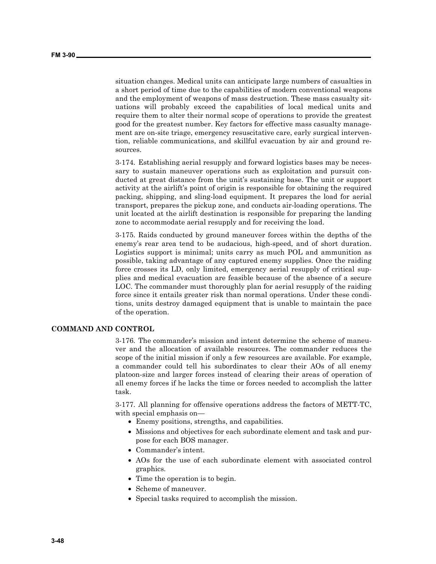situation changes. Medical units can anticipate large numbers of casualties in a short period of time due to the capabilities of modern conventional weapons and the employment of weapons of mass destruction. These mass casualty situations will probably exceed the capabilities of local medical units and require them to alter their normal scope of operations to provide the greatest good for the greatest number. Key factors for effective mass casualty management are on-site triage, emergency resuscitative care, early surgical intervention, reliable communications, and skillful evacuation by air and ground resources.

3-174. Establishing aerial resupply and forward logistics bases may be necessary to sustain maneuver operations such as exploitation and pursuit conducted at great distance from the unit's sustaining base. The unit or support activity at the airlift's point of origin is responsible for obtaining the required packing, shipping, and sling-load equipment. It prepares the load for aerial transport, prepares the pickup zone, and conducts air-loading operations. The unit located at the airlift destination is responsible for preparing the landing zone to accommodate aerial resupply and for receiving the load.

3-175. Raids conducted by ground maneuver forces within the depths of the enemy's rear area tend to be audacious, high-speed, and of short duration. Logistics support is minimal; units carry as much POL and ammunition as possible, taking advantage of any captured enemy supplies. Once the raiding force crosses its LD, only limited, emergency aerial resupply of critical supplies and medical evacuation are feasible because of the absence of a secure LOC. The commander must thoroughly plan for aerial resupply of the raiding force since it entails greater risk than normal operations. Under these conditions, units destroy damaged equipment that is unable to maintain the pace of the operation.

#### <span id="page-48-0"></span>**COMMAND AND CONTROL**

3-176. The commander's mission and intent determine the scheme of maneuver and the allocation of available resources. The commander reduces the scope of the initial mission if only a few resources are available. For example, a commander could tell his subordinates to clear their AOs of all enemy platoon-size and larger forces instead of clearing their areas of operation of all enemy forces if he lacks the time or forces needed to accomplish the latter task.

3-177. All planning for offensive operations address the factors of METT-TC, with special emphasis on—

- Enemy positions, strengths, and capabilities.
- Missions and objectives for each subordinate element and task and purpose for each BOS manager.
- Commander's intent.
- AOs for the use of each subordinate element with associated control graphics.
- Time the operation is to begin.
- Scheme of maneuver.
- Special tasks required to accomplish the mission.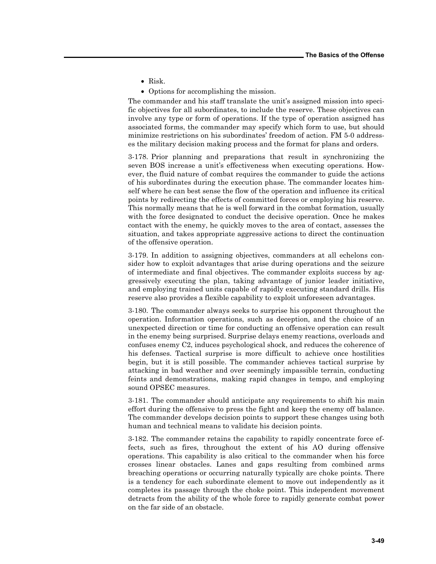- Risk.
- Options for accomplishing the mission.

The commander and his staff translate the unit's assigned mission into specific objectives for all subordinates, to include the reserve. These objectives can involve any type or form of operations. If the type of operation assigned has associated forms, the commander may specify which form to use, but should minimize restrictions on his subordinates' freedom of action. FM 5-0 addresses the military decision making process and the format for plans and orders.

3-178. Prior planning and preparations that result in synchronizing the seven BOS increase a unit's effectiveness when executing operations. However, the fluid nature of combat requires the commander to guide the actions of his subordinates during the execution phase. The commander locates himself where he can best sense the flow of the operation and influence its critical points by redirecting the effects of committed forces or employing his reserve. This normally means that he is well forward in the combat formation, usually with the force designated to conduct the decisive operation. Once he makes contact with the enemy, he quickly moves to the area of contact, assesses the situation, and takes appropriate aggressive actions to direct the continuation of the offensive operation.

3-179. In addition to assigning objectives, commanders at all echelons consider how to exploit advantages that arise during operations and the seizure of intermediate and final objectives. The commander exploits success by aggressively executing the plan, taking advantage of junior leader initiative, and employing trained units capable of rapidly executing standard drills. His reserve also provides a flexible capability to exploit unforeseen advantages.

3-180. The commander always seeks to surprise his opponent throughout the operation. Information operations, such as deception, and the choice of an unexpected direction or time for conducting an offensive operation can result in the enemy being surprised. Surprise delays enemy reactions, overloads and confuses enemy C2, induces psychological shock, and reduces the coherence of his defenses. Tactical surprise is more difficult to achieve once hostilities begin, but it is still possible. The commander achieves tactical surprise by attacking in bad weather and over seemingly impassible terrain, conducting feints and demonstrations, making rapid changes in tempo, and employing sound OPSEC measures.

3-181. The commander should anticipate any requirements to shift his main effort during the offensive to press the fight and keep the enemy off balance. The commander develops decision points to support these changes using both human and technical means to validate his decision points.

3-182. The commander retains the capability to rapidly concentrate force effects, such as fires, throughout the extent of his AO during offensive operations. This capability is also critical to the commander when his force crosses linear obstacles. Lanes and gaps resulting from combined arms breaching operations or occurring naturally typically are choke points. There is a tendency for each subordinate element to move out independently as it completes its passage through the choke point. This independent movement detracts from the ability of the whole force to rapidly generate combat power on the far side of an obstacle.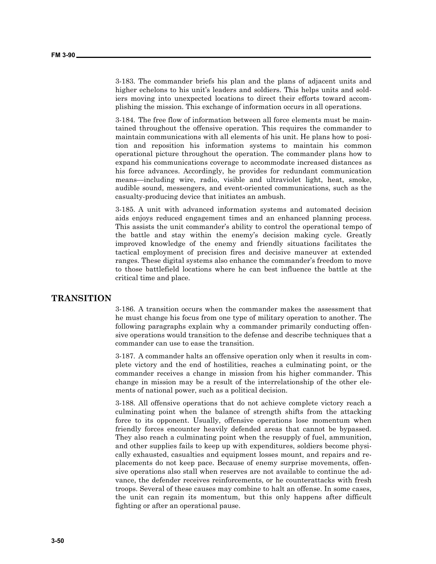3-183. The commander briefs his plan and the plans of adjacent units and higher echelons to his unit's leaders and soldiers. This helps units and soldiers moving into unexpected locations to direct their efforts toward accomplishing the mission. This exchange of information occurs in all operations.

<span id="page-50-1"></span>3-184. The free flow of information between all force elements must be maintained throughout the offensive operation. This requires the commander to maintain communications with all elements of his unit. He plans how to position and reposition his information systems to maintain his common operational picture throughout the operation. The commander plans how to expand his communications coverage to accommodate increased distances as his force advances. Accordingly, he provides for redundant communication means—including wire, radio, visible and ultraviolet light, heat, smoke, audible sound, messengers, and event-oriented communications, such as the casualty-producing device that initiates an ambush.

3-185. A unit with advanced information systems and automated decision aids enjoys reduced engagement times and an enhanced planning process. This assists the unit commander's ability to control the operational tempo of the battle and stay within the enemy's decision making cycle. Greatly improved knowledge of the enemy and friendly situations facilitates the tactical employment of precision fires and decisive maneuver at extended ranges. These digital systems also enhance the commander's freedom to move to those battlefield locations where he can best influence the battle at the critical time and place.

## <span id="page-50-0"></span>**TRANSITION**

3-186. A transition occurs when the commander makes the assessment that he must change his focus from one type of military operation to another. The following paragraphs explain why a commander primarily conducting offensive operations would transition to the defense and describe techniques that a commander can use to ease the transition.

3-187. A commander halts an offensive operation only when it results in complete victory and the end of hostilities, reaches a culminating point, or the commander receives a change in mission from his higher commander. This change in mission may be a result of the interrelationship of the other elements of national power, such as a political decision.

3-188. All offensive operations that do not achieve complete victory reach a culminating point when the balance of strength shifts from the attacking force to its opponent. Usually, offensive operations lose momentum when friendly forces encounter heavily defended areas that cannot be bypassed. They also reach a culminating point when the resupply of fuel, ammunition, and other supplies fails to keep up with expenditures, soldiers become physically exhausted, casualties and equipment losses mount, and repairs and replacements do not keep pace. Because of enemy surprise movements, offensive operations also stall when reserves are not available to continue the advance, the defender receives reinforcements, or he counterattacks with fresh troops. Several of these causes may combine to halt an offense. In some cases, the unit can regain its momentum, but this only happens after difficult fighting or after an operational pause.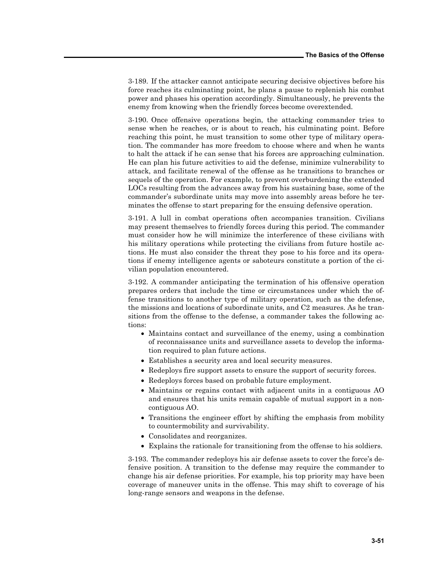3-189. If the attacker cannot anticipate securing decisive objectives before his force reaches its culminating point, he plans a pause to replenish his combat power and phases his operation accordingly. Simultaneously, he prevents the enemy from knowing when the friendly forces become overextended.

3-190. Once offensive operations begin, the attacking commander tries to sense when he reaches, or is about to reach, his culminating point. Before reaching this point, he must transition to some other type of military operation. The commander has more freedom to choose where and when he wants to halt the attack if he can sense that his forces are approaching culmination. He can plan his future activities to aid the defense, minimize vulnerability to attack, and facilitate renewal of the offense as he transitions to branches or sequels of the operation. For example, to prevent overburdening the extended LOCs resulting from the advances away from his sustaining base, some of the commander's subordinate units may move into assembly areas before he terminates the offense to start preparing for the ensuing defensive operation.

3-191. A lull in combat operations often accompanies transition. Civilians may present themselves to friendly forces during this period. The commander must consider how he will minimize the interference of these civilians with his military operations while protecting the civilians from future hostile actions. He must also consider the threat they pose to his force and its operations if enemy intelligence agents or saboteurs constitute a portion of the civilian population encountered.

3-192. A commander anticipating the termination of his offensive operation prepares orders that include the time or circumstances under which the offense transitions to another type of military operation, such as the defense, the missions and locations of subordinate units, and C2 measures. As he transitions from the offense to the defense, a commander takes the following actions:

- Maintains contact and surveillance of the enemy, using a combination of reconnaissance units and surveillance assets to develop the information required to plan future actions.
- Establishes a security area and local security measures.
- Redeploys fire support assets to ensure the support of security forces.
- Redeploys forces based on probable future employment.
- Maintains or regains contact with adjacent units in a contiguous AO and ensures that his units remain capable of mutual support in a noncontiguous AO.
- Transitions the engineer effort by shifting the emphasis from mobility to countermobility and survivability.
- Consolidates and reorganizes.
- Explains the rationale for transitioning from the offense to his soldiers.

3-193. The commander redeploys his air defense assets to cover the force's defensive position. A transition to the defense may require the commander to change his air defense priorities. For example, his top priority may have been coverage of maneuver units in the offense. This may shift to coverage of his long-range sensors and weapons in the defense.